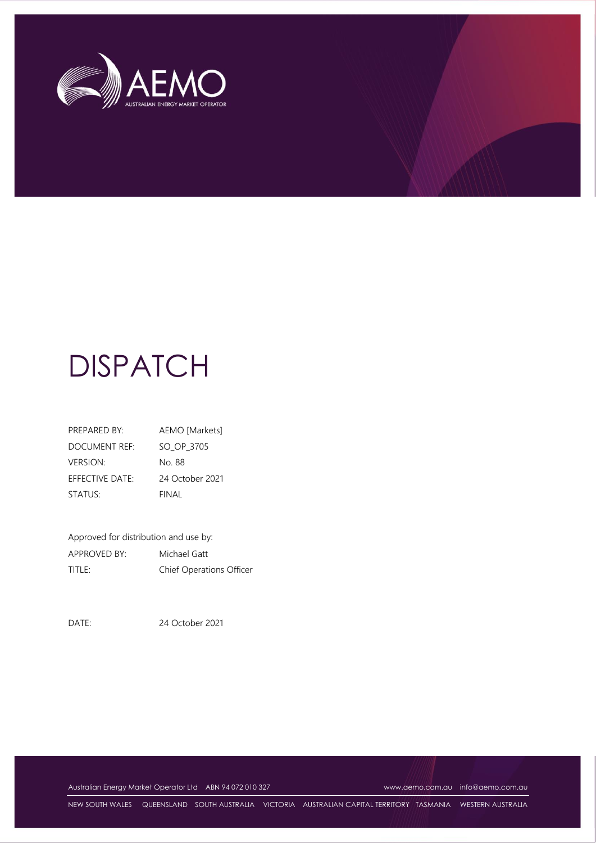

# **DISPATCH**

| PREPARED BY:    | AEMO [Markets]  |
|-----------------|-----------------|
| DOCUMENT REF:   | SO OP 3705      |
| <b>VERSION:</b> | No 88           |
| EFFECTIVE DATE: | 24 October 2021 |
| STATUS:         | FINAL           |

Approved for distribution and use by: APPROVED BY: Michael Gatt TITLE: Chief Operations Officer

DATE: 24 October 2021

Australian Energy Market Operator Ltd ABN 94 072 010 327 [www.aemo.com.au](http://www.aemo.com.au/) [info@aemo.com.au](mailto:info@aemo.com.au)

NEW SOUTH WALES QUEENSLAND SOUTH AUSTRALIA VICTORIA AUSTRALIAN CAPITAL TERRITORY TASMANIA WESTERN AUSTRALIA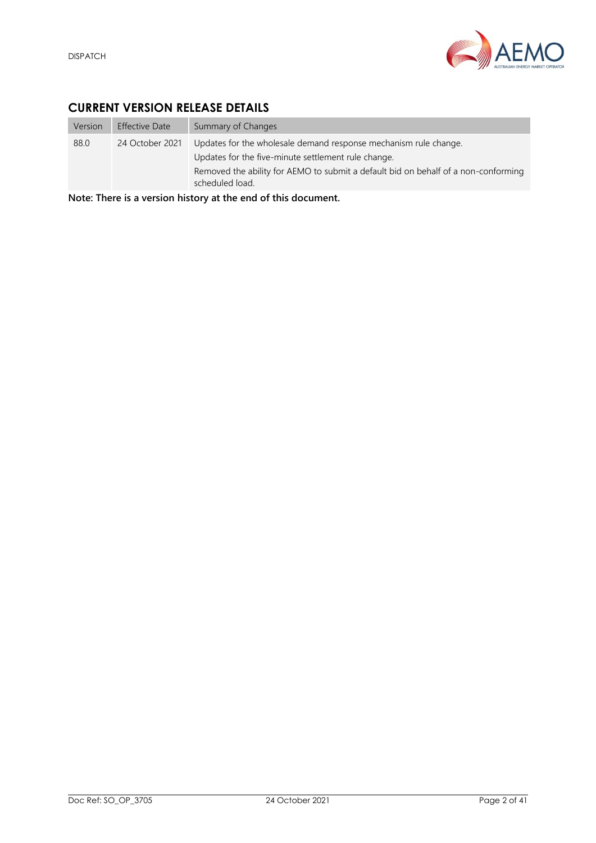

## <span id="page-1-0"></span>**CURRENT VERSION RELEASE DETAILS**

| Version | <b>Effective Date</b> | Summary of Changes                                                                                                                                                                                                               |
|---------|-----------------------|----------------------------------------------------------------------------------------------------------------------------------------------------------------------------------------------------------------------------------|
| 88.0    | 24 October 2021       | Updates for the wholesale demand response mechanism rule change.<br>Updates for the five-minute settlement rule change.<br>Removed the ability for AEMO to submit a default bid on behalf of a non-conforming<br>scheduled load. |

**Note: There is a version history at the end of this document.**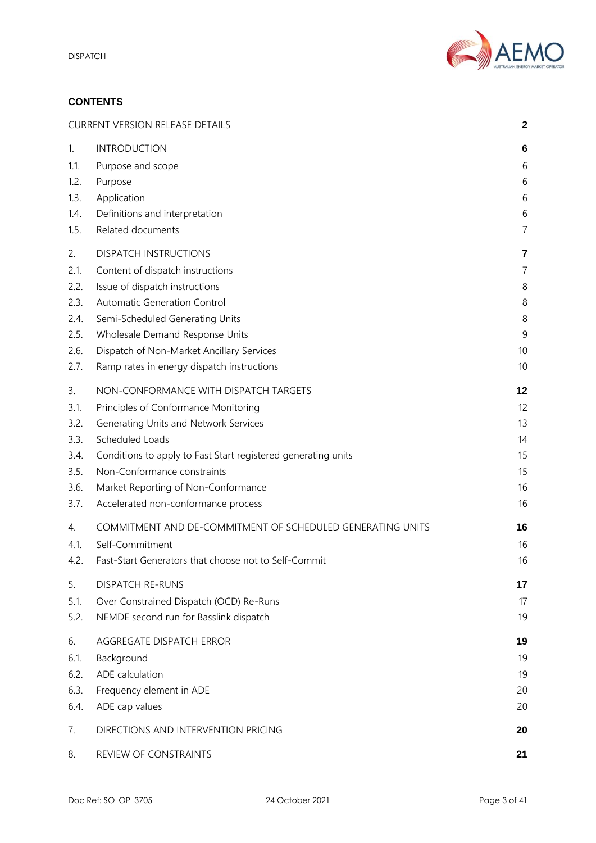

#### **CONTENTS**

|      | <b>CURRENT VERSION RELEASE DETAILS</b><br>$\mathbf{2}$        |                |  |
|------|---------------------------------------------------------------|----------------|--|
| 1.   | <b>INTRODUCTION</b>                                           | 6              |  |
| 1.1. | Purpose and scope                                             | 6              |  |
| 1.2. | Purpose                                                       | 6              |  |
| 1.3. | Application                                                   | 6              |  |
| 1.4. | Definitions and interpretation                                | 6              |  |
| 1.5. | Related documents                                             | $\overline{7}$ |  |
| 2.   | <b>DISPATCH INSTRUCTIONS</b>                                  | 7              |  |
| 2.1. | Content of dispatch instructions                              | 7              |  |
| 2.2. | Issue of dispatch instructions                                | 8              |  |
| 2.3. | Automatic Generation Control                                  | 8              |  |
| 2.4. | Semi-Scheduled Generating Units                               | 8              |  |
| 2.5. | Wholesale Demand Response Units                               | 9              |  |
| 2.6. | Dispatch of Non-Market Ancillary Services                     | 10             |  |
| 2.7. | Ramp rates in energy dispatch instructions                    | 10             |  |
| 3.   | NON-CONFORMANCE WITH DISPATCH TARGETS                         | 12             |  |
| 3.1. | Principles of Conformance Monitoring                          | 12             |  |
| 3.2. | Generating Units and Network Services                         | 13             |  |
| 3.3. | Scheduled Loads                                               | 14             |  |
| 3.4. | Conditions to apply to Fast Start registered generating units | 15             |  |
| 3.5. | Non-Conformance constraints                                   | 15             |  |
| 3.6. | Market Reporting of Non-Conformance                           | 16             |  |
| 3.7. | Accelerated non-conformance process                           | 16             |  |
| 4.   | COMMITMENT AND DE-COMMITMENT OF SCHEDULED GENERATING UNITS    | 16             |  |
| 4.1. | Self-Commitment                                               | 16             |  |
| 4.2. | Fast-Start Generators that choose not to Self-Commit          | 16             |  |
| 5.   | <b>DISPATCH RE-RUNS</b>                                       | 17             |  |
| 5.1. | Over Constrained Dispatch (OCD) Re-Runs                       | 17             |  |
| 5.2. | NEMDE second run for Basslink dispatch                        | 19             |  |
| 6.   | AGGREGATE DISPATCH ERROR                                      | 19             |  |
| 6.1. | Background                                                    | 19             |  |
| 6.2. | ADE calculation                                               | 19             |  |
| 6.3. | Frequency element in ADE                                      | 20             |  |
| 6.4. | ADE cap values                                                | 20             |  |
| 7.   | DIRECTIONS AND INTERVENTION PRICING                           | 20             |  |
| 8.   | REVIEW OF CONSTRAINTS                                         | 21             |  |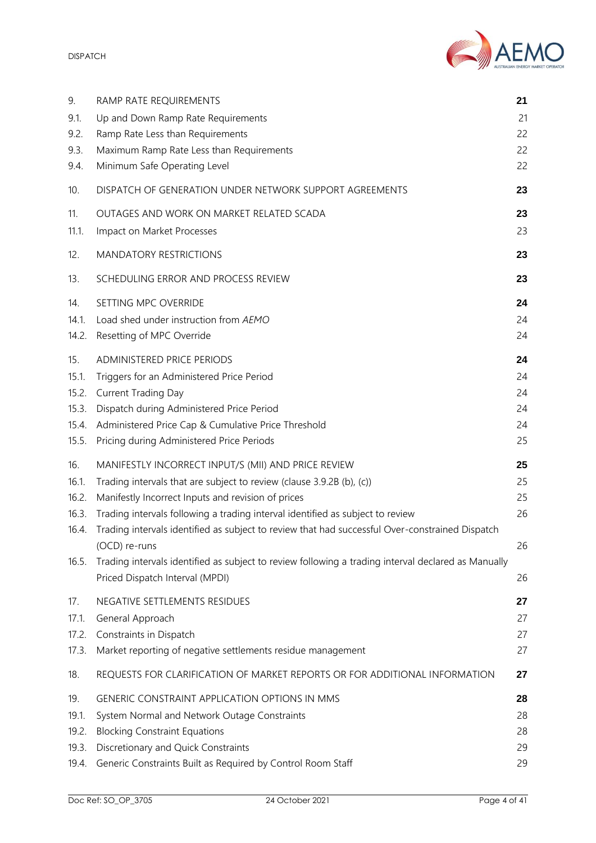DISPATCH



| 9.                                               | RAMP RATE REQUIREMENTS                                                                                                                                                                                                                                                                                                                                                                                                                                                                                                             | 21                               |
|--------------------------------------------------|------------------------------------------------------------------------------------------------------------------------------------------------------------------------------------------------------------------------------------------------------------------------------------------------------------------------------------------------------------------------------------------------------------------------------------------------------------------------------------------------------------------------------------|----------------------------------|
| 9.1.                                             | Up and Down Ramp Rate Requirements                                                                                                                                                                                                                                                                                                                                                                                                                                                                                                 | 21                               |
| 9.2.                                             | Ramp Rate Less than Requirements                                                                                                                                                                                                                                                                                                                                                                                                                                                                                                   | 22                               |
| 9.3.                                             | Maximum Ramp Rate Less than Requirements                                                                                                                                                                                                                                                                                                                                                                                                                                                                                           | 22                               |
| 9.4.                                             | Minimum Safe Operating Level                                                                                                                                                                                                                                                                                                                                                                                                                                                                                                       | 22                               |
| 10.                                              | DISPATCH OF GENERATION UNDER NETWORK SUPPORT AGREEMENTS                                                                                                                                                                                                                                                                                                                                                                                                                                                                            | 23                               |
| 11.                                              | OUTAGES AND WORK ON MARKET RELATED SCADA                                                                                                                                                                                                                                                                                                                                                                                                                                                                                           | 23                               |
| 11.1.                                            | Impact on Market Processes                                                                                                                                                                                                                                                                                                                                                                                                                                                                                                         | 23                               |
| 12.                                              | <b>MANDATORY RESTRICTIONS</b>                                                                                                                                                                                                                                                                                                                                                                                                                                                                                                      | 23                               |
| 13.                                              | SCHEDULING ERROR AND PROCESS REVIEW                                                                                                                                                                                                                                                                                                                                                                                                                                                                                                | 23                               |
| 14.                                              | SETTING MPC OVERRIDE                                                                                                                                                                                                                                                                                                                                                                                                                                                                                                               | 24                               |
| 14.1.                                            | Load shed under instruction from AEMO                                                                                                                                                                                                                                                                                                                                                                                                                                                                                              | 24                               |
| 14.2.                                            | Resetting of MPC Override                                                                                                                                                                                                                                                                                                                                                                                                                                                                                                          | 24                               |
| 15.                                              | ADMINISTERED PRICE PERIODS                                                                                                                                                                                                                                                                                                                                                                                                                                                                                                         | 24                               |
| 15.1.                                            | Triggers for an Administered Price Period                                                                                                                                                                                                                                                                                                                                                                                                                                                                                          | 24                               |
| 15.2.                                            | <b>Current Trading Day</b>                                                                                                                                                                                                                                                                                                                                                                                                                                                                                                         | 24                               |
| 15.3.                                            | Dispatch during Administered Price Period                                                                                                                                                                                                                                                                                                                                                                                                                                                                                          | 24                               |
| 15.4.                                            | Administered Price Cap & Cumulative Price Threshold                                                                                                                                                                                                                                                                                                                                                                                                                                                                                | 24                               |
| 15.5.                                            | Pricing during Administered Price Periods                                                                                                                                                                                                                                                                                                                                                                                                                                                                                          | 25                               |
| 16.<br>16.1.<br>16.2.<br>16.3.<br>16.4.<br>16.5. | MANIFESTLY INCORRECT INPUT/S (MII) AND PRICE REVIEW<br>Trading intervals that are subject to review (clause 3.9.2B (b), (c))<br>Manifestly Incorrect Inputs and revision of prices<br>Trading intervals following a trading interval identified as subject to review<br>Trading intervals identified as subject to review that had successful Over-constrained Dispatch<br>(OCD) re-runs<br>Trading intervals identified as subject to review following a trading interval declared as Manually<br>Priced Dispatch Interval (MPDI) | 25<br>25<br>25<br>26<br>26<br>26 |
| 17.                                              | NEGATIVE SETTLEMENTS RESIDUES                                                                                                                                                                                                                                                                                                                                                                                                                                                                                                      | 27                               |
| 17.1.                                            | General Approach                                                                                                                                                                                                                                                                                                                                                                                                                                                                                                                   | 27                               |
| 17.2.                                            | Constraints in Dispatch                                                                                                                                                                                                                                                                                                                                                                                                                                                                                                            | 27                               |
| 17.3.                                            | Market reporting of negative settlements residue management                                                                                                                                                                                                                                                                                                                                                                                                                                                                        | 27                               |
| 18.                                              | REQUESTS FOR CLARIFICATION OF MARKET REPORTS OR FOR ADDITIONAL INFORMATION                                                                                                                                                                                                                                                                                                                                                                                                                                                         | 27                               |
| 19.                                              | <b>GENERIC CONSTRAINT APPLICATION OPTIONS IN MMS</b>                                                                                                                                                                                                                                                                                                                                                                                                                                                                               | 28                               |
| 19.1.                                            | System Normal and Network Outage Constraints                                                                                                                                                                                                                                                                                                                                                                                                                                                                                       | 28                               |
| 19.2.                                            | <b>Blocking Constraint Equations</b>                                                                                                                                                                                                                                                                                                                                                                                                                                                                                               | 28                               |
| 19.3.                                            | Discretionary and Quick Constraints                                                                                                                                                                                                                                                                                                                                                                                                                                                                                                | 29                               |
| 19.4.                                            | Generic Constraints Built as Required by Control Room Staff                                                                                                                                                                                                                                                                                                                                                                                                                                                                        | 29                               |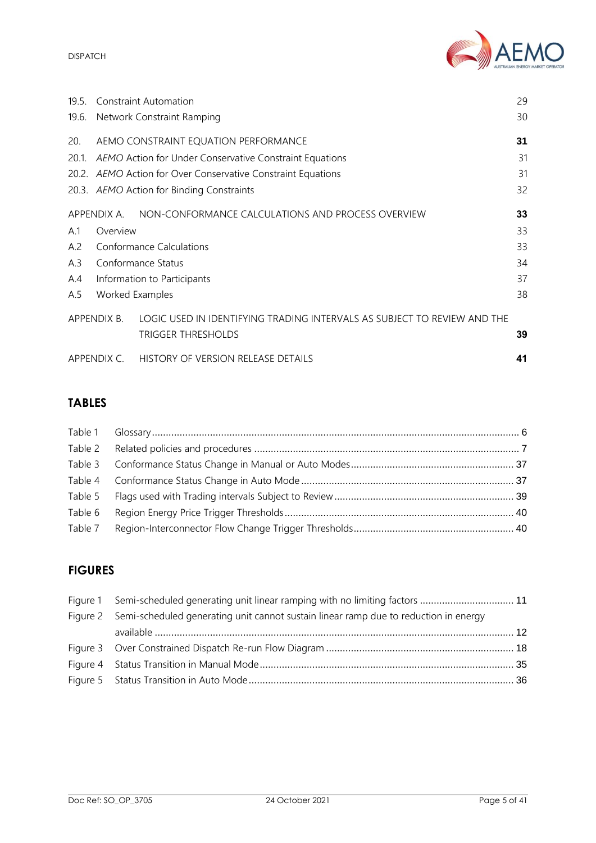AEMO

DISPATCH

| 19.5        | 29<br><b>Constraint Automation</b>              |                                                                                                       |    |  |
|-------------|-------------------------------------------------|-------------------------------------------------------------------------------------------------------|----|--|
| 19.6.       | 30<br>Network Constraint Ramping                |                                                                                                       |    |  |
| 20.         |                                                 | AEMO CONSTRAINT EQUATION PERFORMANCE                                                                  | 31 |  |
| $20.1$ .    |                                                 | AEMO Action for Under Conservative Constraint Equations                                               | 31 |  |
|             |                                                 | 20.2. AEMO Action for Over Conservative Constraint Equations                                          | 31 |  |
|             | 32<br>20.3. AEMO Action for Binding Constraints |                                                                                                       |    |  |
|             |                                                 | APPENDIX A. NON-CONFORMANCE CALCULATIONS AND PROCESS OVERVIEW                                         | 33 |  |
| A.1         | 33<br>Overview                                  |                                                                                                       |    |  |
| A.2         | <b>Conformance Calculations</b><br>33           |                                                                                                       |    |  |
| A.3         | Conformance Status<br>34                        |                                                                                                       |    |  |
| A.4         | 37<br>Information to Participants               |                                                                                                       |    |  |
| A.5         | Worked Examples<br>38                           |                                                                                                       |    |  |
|             | APPENDIX B.                                     | LOGIC USED IN IDENTIFYING TRADING INTERVALS AS SUBJECT TO REVIEW AND THE<br><b>TRIGGER THRESHOLDS</b> | 39 |  |
| APPENDIX C. |                                                 | HISTORY OF VERSION RELEASE DETAILS                                                                    | 41 |  |

# **TABLES**

# **FIGURES**

| Figure 1 Semi-scheduled generating unit linear ramping with no limiting factors  11           |  |
|-----------------------------------------------------------------------------------------------|--|
| Figure 2 Semi-scheduled generating unit cannot sustain linear ramp due to reduction in energy |  |
|                                                                                               |  |
|                                                                                               |  |
|                                                                                               |  |
|                                                                                               |  |
|                                                                                               |  |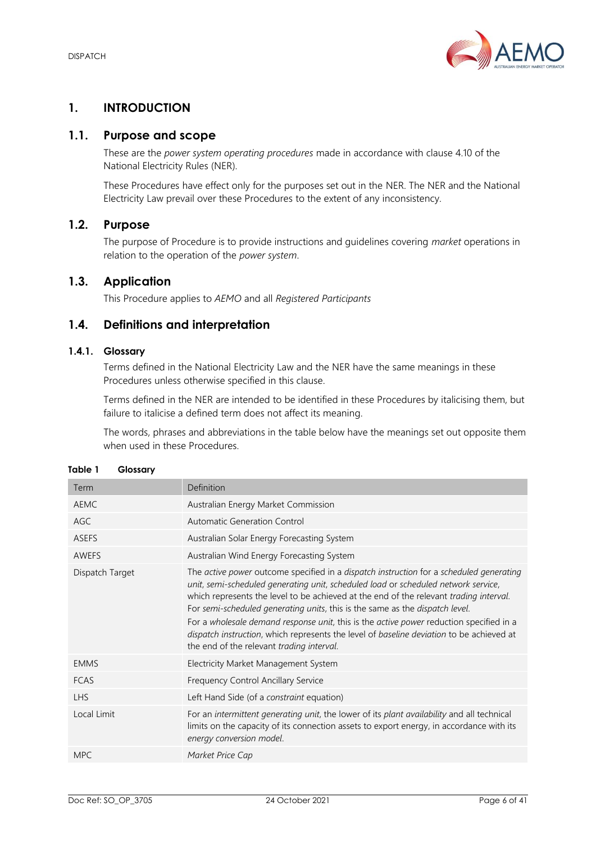

## <span id="page-5-0"></span>**1. INTRODUCTION**

## <span id="page-5-1"></span>**1.1. Purpose and scope**

These are the *power system operating procedures* made in accordance with clause 4.10 of the National Electricity Rules (NER).

These Procedures have effect only for the purposes set out in the NER. The NER and the National Electricity Law prevail over these Procedures to the extent of any inconsistency.

## <span id="page-5-2"></span>**1.2. Purpose**

The purpose of Procedure is to provide instructions and guidelines covering *market* operations in relation to the operation of the *power system*.

## <span id="page-5-3"></span>**1.3. Application**

This Procedure applies to *AEMO* and all *Registered Participants*

## <span id="page-5-4"></span>**1.4. Definitions and interpretation**

## **1.4.1. Glossary**

Terms defined in the National Electricity Law and the NER have the same meanings in these Procedures unless otherwise specified in this clause.

Terms defined in the NER are intended to be identified in these Procedures by italicising them, but failure to italicise a defined term does not affect its meaning.

The words, phrases and abbreviations in the table below have the meanings set out opposite them when used in these Procedures.

| Term            | Definition                                                                                                                                                                                                                                                                                                                                                                                                                                                                                                                                                                                          |
|-----------------|-----------------------------------------------------------------------------------------------------------------------------------------------------------------------------------------------------------------------------------------------------------------------------------------------------------------------------------------------------------------------------------------------------------------------------------------------------------------------------------------------------------------------------------------------------------------------------------------------------|
| <b>AEMC</b>     | Australian Energy Market Commission                                                                                                                                                                                                                                                                                                                                                                                                                                                                                                                                                                 |
| AGC.            | Automatic Generation Control                                                                                                                                                                                                                                                                                                                                                                                                                                                                                                                                                                        |
| <b>ASEFS</b>    | Australian Solar Energy Forecasting System                                                                                                                                                                                                                                                                                                                                                                                                                                                                                                                                                          |
| AWEFS           | Australian Wind Energy Forecasting System                                                                                                                                                                                                                                                                                                                                                                                                                                                                                                                                                           |
| Dispatch Target | The active power outcome specified in a dispatch instruction for a scheduled generating<br>unit, semi-scheduled generating unit, scheduled load or scheduled network service,<br>which represents the level to be achieved at the end of the relevant <i>trading interval</i> .<br>For semi-scheduled generating units, this is the same as the dispatch level.<br>For a wholesale demand response unit, this is the active power reduction specified in a<br>dispatch instruction, which represents the level of baseline deviation to be achieved at<br>the end of the relevant trading interval. |
| <b>EMMS</b>     | Electricity Market Management System                                                                                                                                                                                                                                                                                                                                                                                                                                                                                                                                                                |
| <b>FCAS</b>     | Frequency Control Ancillary Service                                                                                                                                                                                                                                                                                                                                                                                                                                                                                                                                                                 |
| <b>LHS</b>      | Left Hand Side (of a constraint equation)                                                                                                                                                                                                                                                                                                                                                                                                                                                                                                                                                           |
| Local Limit     | For an intermittent generating unit, the lower of its plant availability and all technical<br>limits on the capacity of its connection assets to export energy, in accordance with its<br>energy conversion model.                                                                                                                                                                                                                                                                                                                                                                                  |
| <b>MPC</b>      | Market Price Cap                                                                                                                                                                                                                                                                                                                                                                                                                                                                                                                                                                                    |

<span id="page-5-5"></span>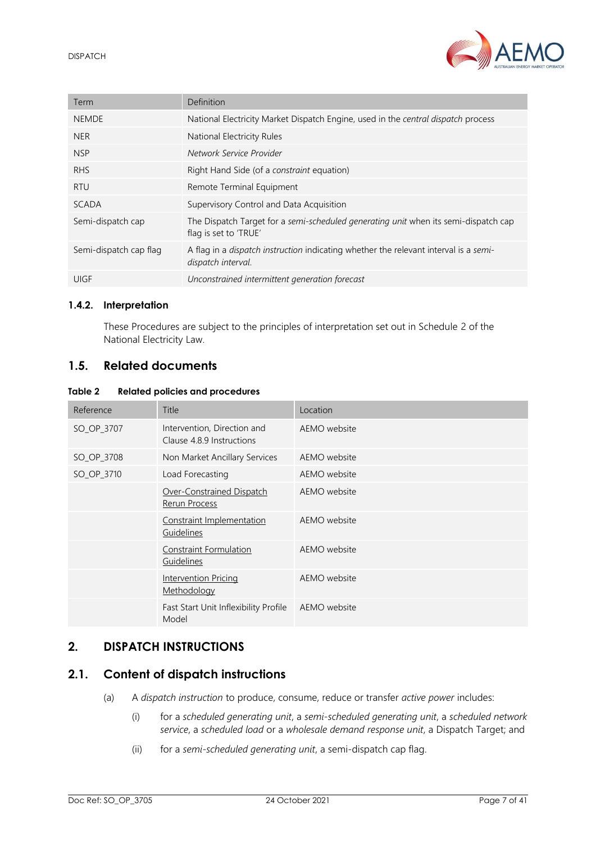

| Term                   | Definition                                                                                                        |
|------------------------|-------------------------------------------------------------------------------------------------------------------|
| <b>NEMDE</b>           | National Electricity Market Dispatch Engine, used in the central dispatch process                                 |
| <b>NER</b>             | National Electricity Rules                                                                                        |
| <b>NSP</b>             | Network Service Provider                                                                                          |
| RHS                    | Right Hand Side (of a <i>constraint</i> equation)                                                                 |
| <b>RTU</b>             | Remote Terminal Equipment                                                                                         |
| <b>SCADA</b>           | Supervisory Control and Data Acquisition                                                                          |
| Semi-dispatch cap      | The Dispatch Target for a semi-scheduled generating unit when its semi-dispatch cap<br>flag is set to 'TRUE'      |
| Semi-dispatch cap flag | A flag in a <i>dispatch instruction</i> indicating whether the relevant interval is a semi-<br>dispatch interval. |
| UIGF                   | Unconstrained intermittent generation forecast                                                                    |

#### **1.4.2. Interpretation**

These Procedures are subject to the principles of interpretation set out in Schedule 2 of the National Electricity Law.

#### <span id="page-6-0"></span>**1.5. Related documents**

#### <span id="page-6-3"></span>**Table 2 Related policies and procedures**

| Reference  | Title                                                    | Location     |
|------------|----------------------------------------------------------|--------------|
| SO_OP_3707 | Intervention, Direction and<br>Clause 4.8.9 Instructions | AEMO website |
| SO_OP_3708 | Non Market Ancillary Services                            | AEMO website |
| SO_OP_3710 | Load Forecasting                                         | AEMO website |
|            | Over-Constrained Dispatch<br>Rerun Process               | AEMO website |
|            | Constraint Implementation<br>Guidelines                  | AEMO website |
|            | Constraint Formulation<br>Guidelines                     | AEMO website |
|            | <b>Intervention Pricing</b><br>Methodology               | AEMO website |
|            | Fast Start Unit Inflexibility Profile<br>Model           | AEMO website |

## <span id="page-6-1"></span>**2. DISPATCH INSTRUCTIONS**

## <span id="page-6-2"></span>**2.1. Content of dispatch instructions**

- (a) A *dispatch instruction* to produce, consume, reduce or transfer *active power* includes:
	- (i) for a *scheduled generating unit*, a *semi-scheduled generating unit*, a *scheduled network service*, a *scheduled load* or a *wholesale demand response unit*, a Dispatch Target; and
	- (ii) for a *semi-scheduled generating unit*, a semi-dispatch cap flag.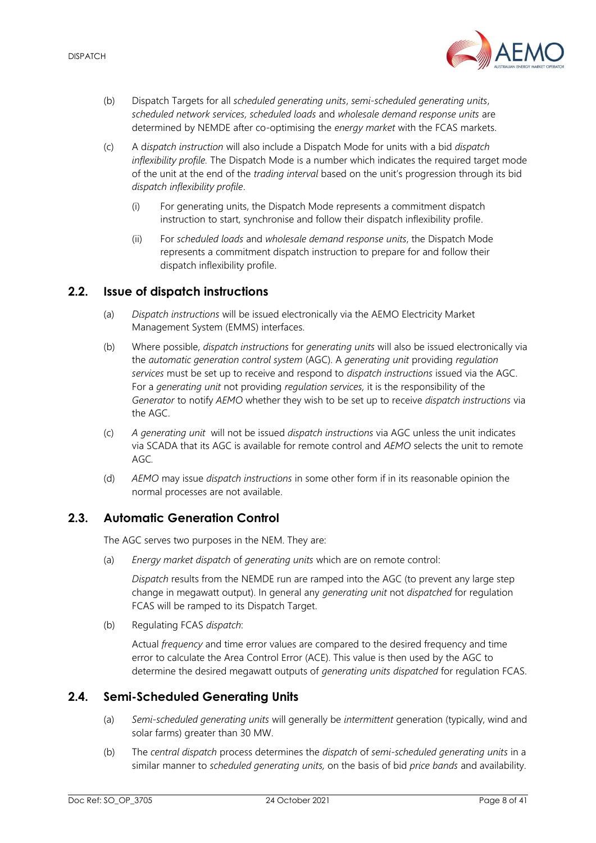

- (b) Dispatch Targets for all *scheduled generating units*, *semi-scheduled generating units*, *scheduled network services, scheduled loads* and *wholesale demand response units* are determined by NEMDE after co-optimising the *energy market* with the FCAS markets.
- (c) A d*ispatch instruction* will also include a Dispatch Mode for units with a bid *dispatch inflexibility profile.* The Dispatch Mode is a number which indicates the required target mode of the unit at the end of the *trading interval* based on the unit's progression through its bid *dispatch inflexibility profile*.
	- (i) For generating units, the Dispatch Mode represents a commitment dispatch instruction to start, synchronise and follow their dispatch inflexibility profile.
	- (ii) For *scheduled loads* and *wholesale demand response units*, the Dispatch Mode represents a commitment dispatch instruction to prepare for and follow their dispatch inflexibility profile.

## <span id="page-7-0"></span>**2.2. Issue of dispatch instructions**

- (a) *Dispatch instructions* will be issued electronically via the AEMO Electricity Market Management System (EMMS) interfaces.
- (b) Where possible, *dispatch instructions* for *generating units* will also be issued electronically via the *automatic generation control system* (AGC). A *generating unit* providing *regulation services* must be set up to receive and respond to *dispatch instructions* issued via the AGC. For a *generating unit* not providing *regulation services,* it is the responsibility of the *Generator* to notify *AEMO* whether they wish to be set up to receive *dispatch instructions* via the AGC.
- (c) *A generating unit* will not be issued *dispatch instructions* via AGC unless the unit indicates via SCADA that its AGC is available for remote control and *AEMO* selects the unit to remote AGC*.*
- (d) *AEMO* may issue *dispatch instructions* in some other form if in its reasonable opinion the normal processes are not available.

## <span id="page-7-1"></span>**2.3. Automatic Generation Control**

The AGC serves two purposes in the NEM. They are:

(a) *Energy market dispatch* of *generating units* which are on remote control:

*Dispatch* results from the NEMDE run are ramped into the AGC (to prevent any large step change in megawatt output). In general any *generating unit* not *dispatched* for regulation FCAS will be ramped to its Dispatch Target.

(b) Regulating FCAS *dispatch*:

Actual *frequency* and time error values are compared to the desired frequency and time error to calculate the Area Control Error (ACE). This value is then used by the AGC to determine the desired megawatt outputs of *generating units dispatched* for regulation FCAS.

## <span id="page-7-2"></span>**2.4. Semi-Scheduled Generating Units**

- (a) *Semi-scheduled generating units* will generally be *intermittent* generation (typically, wind and solar farms) greater than 30 MW.
- (b) The *central dispatch* process determines the *dispatch* of *semi-scheduled generating units* in a similar manner to *scheduled generating units,* on the basis of bid *price bands* and availability.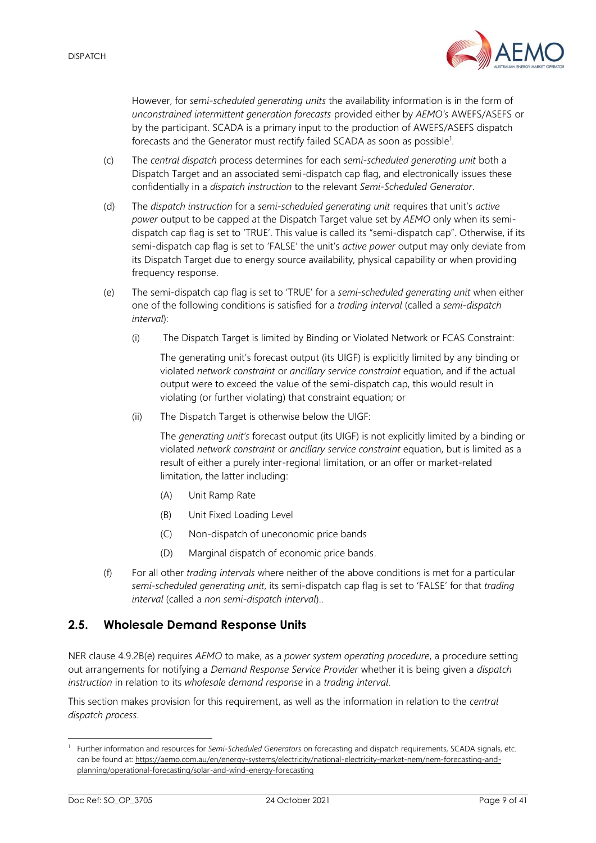

However, for *semi-scheduled generating units* the availability information is in the form of *unconstrained intermittent generation forecasts* provided either by *AEMO's* AWEFS/ASEFS or by the participant. SCADA is a primary input to the production of AWEFS/ASEFS dispatch forecasts and the Generator must rectify failed SCADA as soon as possible<sup>1</sup>.

- (c) The *central dispatch* process determines for each *semi-scheduled generating unit* both a Dispatch Target and an associated semi-dispatch cap flag, and electronically issues these confidentially in a *dispatch instruction* to the relevant *Semi-Scheduled Generator*.
- (d) The *dispatch instruction* for a *semi-scheduled generating unit* requires that unit's *active power* output to be capped at the Dispatch Target value set by *AEMO* only when its semidispatch cap flag is set to 'TRUE'. This value is called its "semi-dispatch cap". Otherwise, if its semi-dispatch cap flag is set to 'FALSE' the unit's *active power* output may only deviate from its Dispatch Target due to energy source availability, physical capability or when providing frequency response.
- (e) The semi-dispatch cap flag is set to 'TRUE' for a *semi-scheduled generating unit* when either one of the following conditions is satisfied for a *trading interval* (called a *semi-dispatch interval*):
	- (i) The Dispatch Target is limited by Binding or Violated Network or FCAS Constraint:

The generating unit's forecast output (its UIGF) is explicitly limited by any binding or violated *network constraint* or *ancillary service constraint* equation, and if the actual output were to exceed the value of the semi-dispatch cap, this would result in violating (or further violating) that constraint equation; or

(ii) The Dispatch Target is otherwise below the UIGF:

The *generating unit's* forecast output (its UIGF) is not explicitly limited by a binding or violated *network constraint* or *ancillary service constraint* equation, but is limited as a result of either a purely inter-regional limitation, or an offer or market-related limitation, the latter including:

- (A) Unit Ramp Rate
- (B) Unit Fixed Loading Level
- (C) Non-dispatch of uneconomic price bands
- (D) Marginal dispatch of economic price bands.
- (f) For all other *trading intervals* where neither of the above conditions is met for a particular *semi-scheduled generating unit*, its semi-dispatch cap flag is set to 'FALSE' for that *trading interval* (called a *non semi-dispatch interval*)..

## <span id="page-8-0"></span>**2.5. Wholesale Demand Response Units**

NER clause 4.9.2B(e) requires *AEMO* to make, as a *power system operating procedure*, a procedure setting out arrangements for notifying a *Demand Response Service Provider* whether it is being given a *dispatch instruction* in relation to its *wholesale demand response* in a *trading interval*.

This section makes provision for this requirement, as well as the information in relation to the *central dispatch process*.

Further information and resources for *Semi-Scheduled Generators* on forecasting and dispatch requirements, SCADA signals, etc. can be found at[: https://aemo.com.au/en/energy-systems/electricity/national-electricity-market-nem/nem-forecasting-and](https://aemo.com.au/en/energy-systems/electricity/national-electricity-market-nem/nem-forecasting-and-planning/operational-forecasting/solar-and-wind-energy-forecasting)[planning/operational-forecasting/solar-and-wind-energy-forecasting](https://aemo.com.au/en/energy-systems/electricity/national-electricity-market-nem/nem-forecasting-and-planning/operational-forecasting/solar-and-wind-energy-forecasting)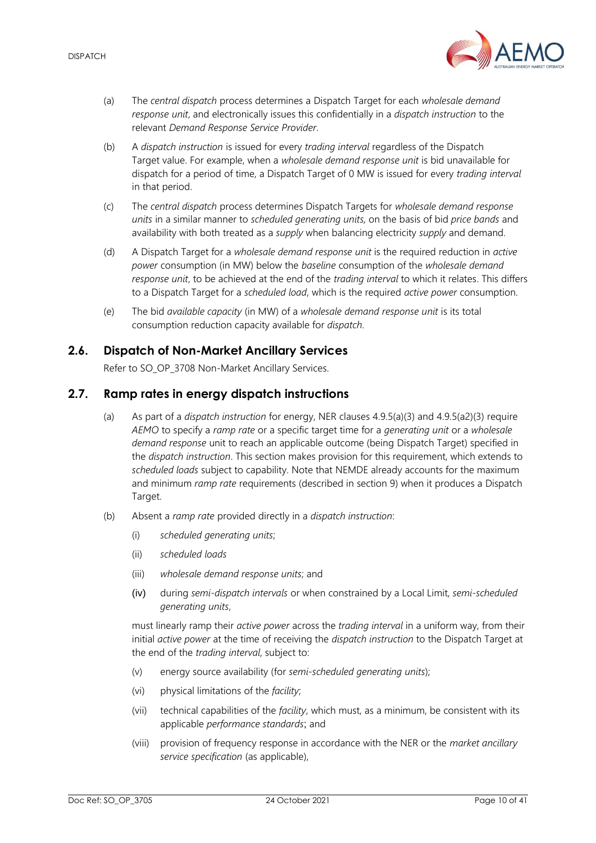

- (a) The *central dispatch* process determines a Dispatch Target for each *wholesale demand response unit*, and electronically issues this confidentially in a *dispatch instruction* to the relevant *Demand Response Service Provider*.
- (b) A *dispatch instruction* is issued for every *trading interval* regardless of the Dispatch Target value. For example, when a *wholesale demand response unit* is bid unavailable for dispatch for a period of time, a Dispatch Target of 0 MW is issued for every *trading interval* in that period.
- (c) The *central dispatch* process determines Dispatch Targets for *wholesale demand response units* in a similar manner to *scheduled generating units,* on the basis of bid *price bands* and availability with both treated as a *supply* when balancing electricity *supply* and demand.
- (d) A Dispatch Target for a *wholesale demand response unit* is the required reduction in *active power* consumption (in MW) below the *baseline* consumption of the *wholesale demand response unit*, to be achieved at the end of the *trading interval* to which it relates. This differs to a Dispatch Target for a *scheduled load*, which is the required *active power* consumption.
- (e) The bid *available capacity* (in MW) of a *wholesale demand response unit* is its total consumption reduction capacity available for *dispatch*.

## <span id="page-9-0"></span>**2.6. Dispatch of Non-Market Ancillary Services**

Refer to SO\_OP\_3708 Non-Market Ancillary Services.

## <span id="page-9-1"></span>**2.7. Ramp rates in energy dispatch instructions**

- (a) As part of a *dispatch instruction* for energy, NER clauses 4.9.5(a)(3) and 4.9.5(a2)(3) require *AEMO* to specify a *ramp rate* or a specific target time for a *generating unit* or a *wholesale demand response* unit to reach an applicable outcome (being Dispatch Target) specified in the *dispatch instruction*. This section makes provision for this requirement, which extends to *scheduled loads* subject to capability. Note that NEMDE already accounts for the maximum and minimum *ramp rate* requirements (described in section [9\)](#page-20-1) when it produces a Dispatch Target.
- (b) Absent a *ramp rate* provided directly in a *dispatch instruction*:
	- (i) *scheduled generating units*;
	- (ii) *scheduled loads*
	- (iii) *wholesale demand response units*; and
	- (iv) during *semi-dispatch intervals* or when constrained by a Local Limit, *semi-scheduled generating units*,

must linearly ramp their *active power* across the *trading interval* in a uniform way, from their initial *active power* at the time of receiving the *dispatch instruction* to the Dispatch Target at the end of the *trading interval*, subject to:

- (v) energy source availability (for *semi-scheduled generating units*);
- (vi) physical limitations of the *facility*;
- (vii) technical capabilities of the *facility*, which must, as a minimum, be consistent with its applicable *performance standards*; and
- (viii) provision of frequency response in accordance with the NER or the *market ancillary service specification* (as applicable),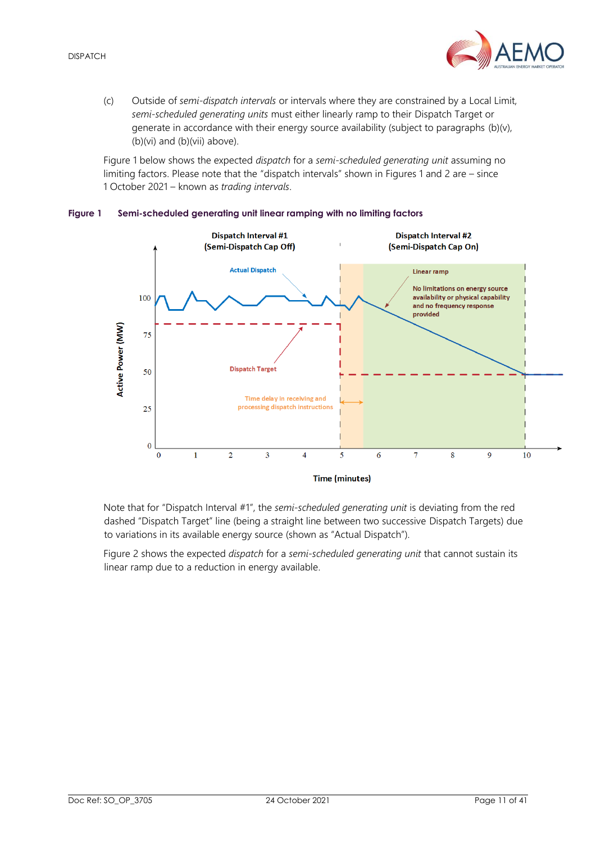

(c) Outside of *semi-dispatch intervals* or intervals where they are constrained by a Local Limit, *semi-scheduled generating units* must either linearly ramp to their Dispatch Target or generate in accordance with their energy source availability (subject to paragraphs (b)(v), (b)(vi) and (b)(vii) above).

Figure 1 below shows the expected *dispatch* for a *semi-scheduled generating unit* assuming no limiting factors. Please note that the "dispatch intervals" shown in Figures 1 and 2 are – since 1 October 2021 – known as *trading intervals*.



#### <span id="page-10-0"></span>**Figure 1 Semi-scheduled generating unit linear ramping with no limiting factors**

Note that for "Dispatch Interval #1", the *semi-scheduled generating unit* is deviating from the red dashed "Dispatch Target" line (being a straight line between two successive Dispatch Targets) due to variations in its available energy source (shown as "Actual Dispatch").

Figure 2 shows the expected *dispatch* for a *semi-scheduled generating unit* that cannot sustain its linear ramp due to a reduction in energy available.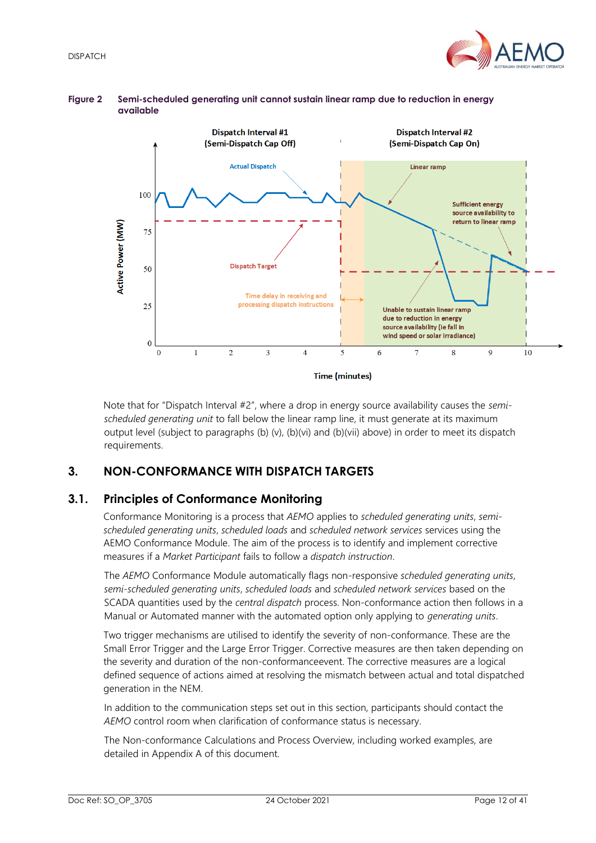



#### <span id="page-11-2"></span>**Figure 2 Semi-scheduled generating unit cannot sustain linear ramp due to reduction in energy available**

Note that for "Dispatch Interval #2", where a drop in energy source availability causes the *semischeduled generating unit* to fall below the linear ramp line, it must generate at its maximum output level (subject to paragraphs (b) (v), (b)(vi) and (b)(vii) above) in order to meet its dispatch requirements.

## <span id="page-11-0"></span>**3. NON-CONFORMANCE WITH DISPATCH TARGETS**

## <span id="page-11-1"></span>**3.1. Principles of Conformance Monitoring**

Conformance Monitoring is a process that *AEMO* applies to *scheduled generating units*, *semischeduled generating units*, *scheduled loads* and *scheduled network services* services using the AEMO Conformance Module. The aim of the process is to identify and implement corrective measures if a *Market Participant* fails to follow a *dispatch instruction*.

The *AEMO* Conformance Module automatically flags non-responsive *scheduled generating units*, *semi-scheduled generating units*, *scheduled loads* and *scheduled network services* based on the SCADA quantities used by the *central dispatch* process. Non-conformance action then follows in a Manual or Automated manner with the automated option only applying to *generating units*.

Two trigger mechanisms are utilised to identify the severity of non-conformance. These are the Small Error Trigger and the Large Error Trigger. Corrective measures are then taken depending on the severity and duration of the non-conformanceevent. The corrective measures are a logical defined sequence of actions aimed at resolving the mismatch between actual and total dispatched generation in the NEM.

In addition to the communication steps set out in this section, participants should contact the *AEMO* control room when clarification of conformance status is necessary.

The Non-conformance Calculations and Process Overview, including worked examples, are detailed in Appendix A of this document.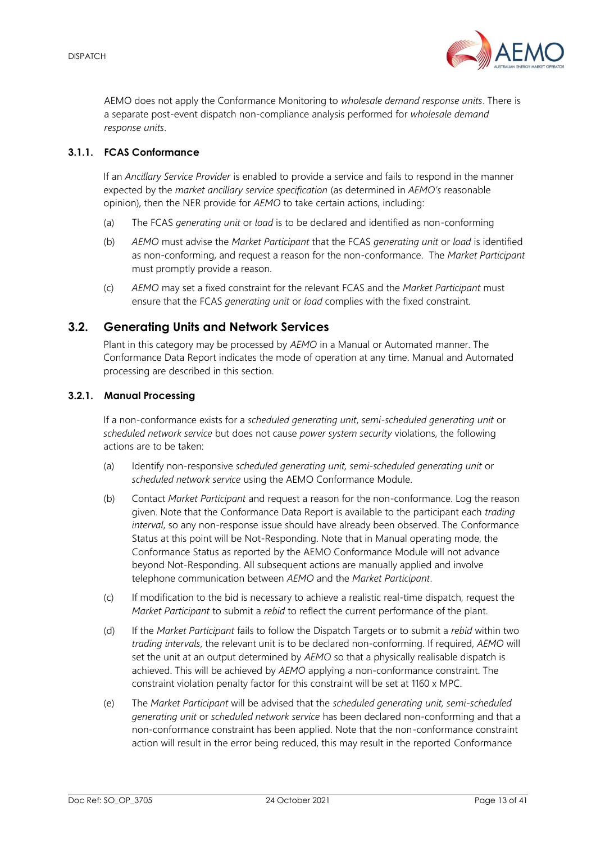

AEMO does not apply the Conformance Monitoring to *wholesale demand response units*. There is a separate post-event dispatch non-compliance analysis performed for *wholesale demand response units*.

#### **3.1.1. FCAS Conformance**

If an *Ancillary Service Provider* is enabled to provide a service and fails to respond in the manner expected by the *market ancillary service specification* (as determined in *AEMO's* reasonable opinion), then the NER provide for *AEMO* to take certain actions, including:

- (a) The FCAS *generating unit* or *load* is to be declared and identified as non-conforming
- (b) *AEMO* must advise the *Market Participant* that the FCAS *generating unit* or *load* is identified as non-conforming, and request a reason for the non-conformance. The *Market Participant* must promptly provide a reason.
- (c) *AEMO* may set a fixed constraint for the relevant FCAS and the *Market Participant* must ensure that the FCAS *generating unit* or *load* complies with the fixed constraint.

## <span id="page-12-0"></span>**3.2. Generating Units and Network Services**

Plant in this category may be processed by *AEMO* in a Manual or Automated manner. The Conformance Data Report indicates the mode of operation at any time. Manual and Automated processing are described in this section.

#### **3.2.1. Manual Processing**

If a non-conformance exists for a *scheduled generating unit*, *semi-scheduled generating unit* or *scheduled network service* but does not cause *power system security* violations, the following actions are to be taken:

- (a) Identify non-responsive *scheduled generating unit, semi-scheduled generating unit* or *scheduled network service* using the AEMO Conformance Module.
- (b) Contact *Market Participant* and request a reason for the non-conformance. Log the reason given. Note that the Conformance Data Report is available to the participant each *trading interval*, so any non-response issue should have already been observed. The Conformance Status at this point will be Not-Responding. Note that in Manual operating mode, the Conformance Status as reported by the AEMO Conformance Module will not advance beyond Not-Responding. All subsequent actions are manually applied and involve telephone communication between *AEMO* and the *Market Participant*.
- (c) If modification to the bid is necessary to achieve a realistic real-time dispatch, request the *Market Participant* to submit a *rebid* to reflect the current performance of the plant.
- (d) If the *Market Participant* fails to follow the Dispatch Targets or to submit a *rebid* within two *trading intervals*, the relevant unit is to be declared non-conforming. If required, *AEMO* will set the unit at an output determined by *AEMO* so that a physically realisable dispatch is achieved. This will be achieved by *AEMO* applying a non-conformance constraint. The constraint violation penalty factor for this constraint will be set at 1160 x MPC.
- (e) The *Market Participant* will be advised that the *scheduled generating unit, semi-scheduled generating unit* or *scheduled network service* has been declared non-conforming and that a non-conformance constraint has been applied. Note that the non-conformance constraint action will result in the error being reduced, this may result in the reported Conformance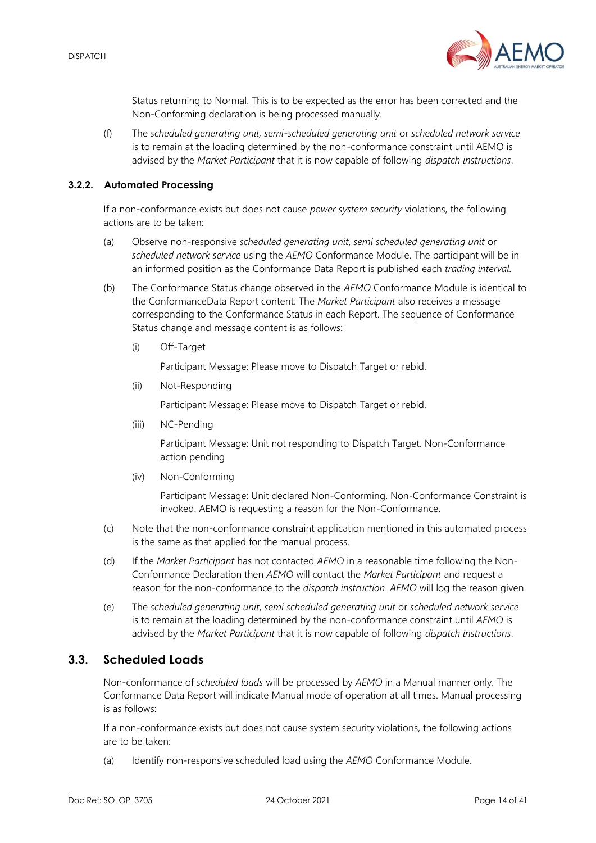

Status returning to Normal. This is to be expected as the error has been corrected and the Non-Conforming declaration is being processed manually.

(f) The *scheduled generating unit, semi-scheduled generating unit* or *scheduled network service* is to remain at the loading determined by the non-conformance constraint until AEMO is advised by the *Market Participant* that it is now capable of following *dispatch instructions*.

#### **3.2.2. Automated Processing**

If a non-conformance exists but does not cause *power system security* violations, the following actions are to be taken:

- (a) Observe non-responsive *scheduled generating unit*, *semi scheduled generating unit* or *scheduled network service* using the *AEMO* Conformance Module. The participant will be in an informed position as the Conformance Data Report is published each *trading interval*.
- (b) The Conformance Status change observed in the *AEMO* Conformance Module is identical to the ConformanceData Report content. The *Market Participant* also receives a message corresponding to the Conformance Status in each Report. The sequence of Conformance Status change and message content is as follows:
	- (i) Off-Target

Participant Message: Please move to Dispatch Target or rebid.

(ii) Not-Responding

Participant Message: Please move to Dispatch Target or rebid.

(iii) NC-Pending

Participant Message: Unit not responding to Dispatch Target. Non-Conformance action pending

(iv) Non-Conforming

Participant Message: Unit declared Non-Conforming. Non-Conformance Constraint is invoked. AEMO is requesting a reason for the Non-Conformance.

- (c) Note that the non-conformance constraint application mentioned in this automated process is the same as that applied for the manual process.
- (d) If the *Market Participant* has not contacted *AEMO* in a reasonable time following the Non-Conformance Declaration then *AEMO* will contact the *Market Participant* and request a reason for the non-conformance to the *dispatch instruction*. *AEMO* will log the reason given.
- (e) The *scheduled generating unit*, *semi scheduled generating unit* or *scheduled network service* is to remain at the loading determined by the non-conformance constraint until *AEMO* is advised by the *Market Participant* that it is now capable of following *dispatch instructions*.

## <span id="page-13-0"></span>**3.3. Scheduled Loads**

Non-conformance of *scheduled loads* will be processed by *AEMO* in a Manual manner only. The Conformance Data Report will indicate Manual mode of operation at all times. Manual processing is as follows:

If a non-conformance exists but does not cause system security violations, the following actions are to be taken:

(a) Identify non-responsive scheduled load using the *AEMO* Conformance Module.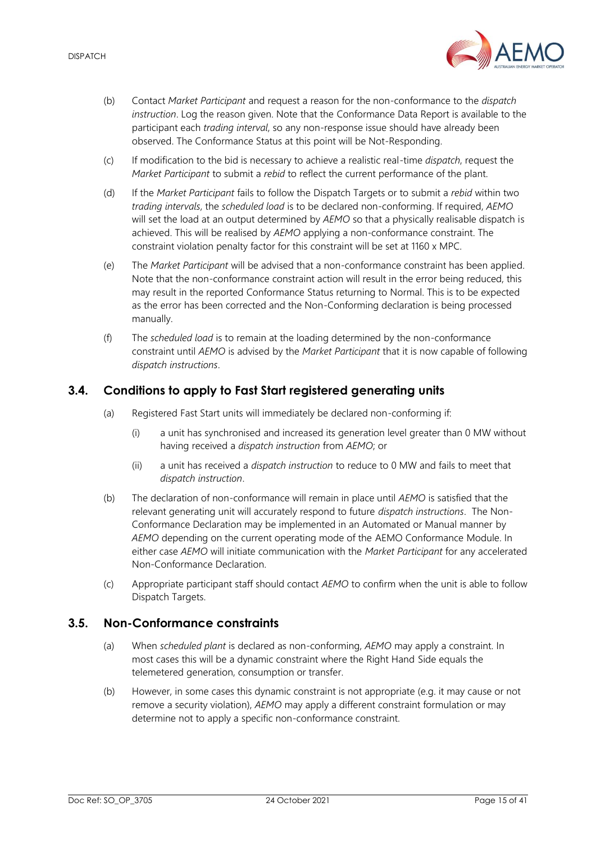

- (b) Contact *Market Participant* and request a reason for the non-conformance to the *dispatch instruction*. Log the reason given. Note that the Conformance Data Report is available to the participant each *trading interval*, so any non-response issue should have already been observed. The Conformance Status at this point will be Not-Responding.
- (c) If modification to the bid is necessary to achieve a realistic real-time *dispatch*, request the *Market Participant* to submit a *rebid* to reflect the current performance of the plant.
- (d) If the *Market Participant* fails to follow the Dispatch Targets or to submit a *rebid* within two *trading intervals*, the *scheduled load* is to be declared non-conforming. If required, *AEMO* will set the load at an output determined by *AEMO* so that a physically realisable dispatch is achieved. This will be realised by *AEMO* applying a non-conformance constraint. The constraint violation penalty factor for this constraint will be set at 1160 x MPC.
- (e) The *Market Participant* will be advised that a non-conformance constraint has been applied. Note that the non-conformance constraint action will result in the error being reduced, this may result in the reported Conformance Status returning to Normal. This is to be expected as the error has been corrected and the Non-Conforming declaration is being processed manually.
- (f) The *scheduled load* is to remain at the loading determined by the non-conformance constraint until *AEMO* is advised by the *Market Participant* that it is now capable of following *dispatch instructions*.

## <span id="page-14-0"></span>**3.4. Conditions to apply to Fast Start registered generating units**

- (a) Registered Fast Start units will immediately be declared non-conforming if:
	- (i) a unit has synchronised and increased its generation level greater than 0 MW without having received a *dispatch instruction* from *AEMO*; or
	- (ii) a unit has received a *dispatch instruction* to reduce to 0 MW and fails to meet that *dispatch instruction*.
- (b) The declaration of non-conformance will remain in place until *AEMO* is satisfied that the relevant generating unit will accurately respond to future *dispatch instructions*. The Non-Conformance Declaration may be implemented in an Automated or Manual manner by *AEMO* depending on the current operating mode of the AEMO Conformance Module. In either case *AEMO* will initiate communication with the *Market Participant* for any accelerated Non-Conformance Declaration.
- (c) Appropriate participant staff should contact *AEMO* to confirm when the unit is able to follow Dispatch Targets.

## <span id="page-14-1"></span>**3.5. Non-Conformance constraints**

- (a) When *scheduled plant* is declared as non-conforming, *AEMO* may apply a constraint. In most cases this will be a dynamic constraint where the Right Hand Side equals the telemetered generation, consumption or transfer.
- (b) However, in some cases this dynamic constraint is not appropriate (e.g. it may cause or not remove a security violation), *AEMO* may apply a different constraint formulation or may determine not to apply a specific non-conformance constraint.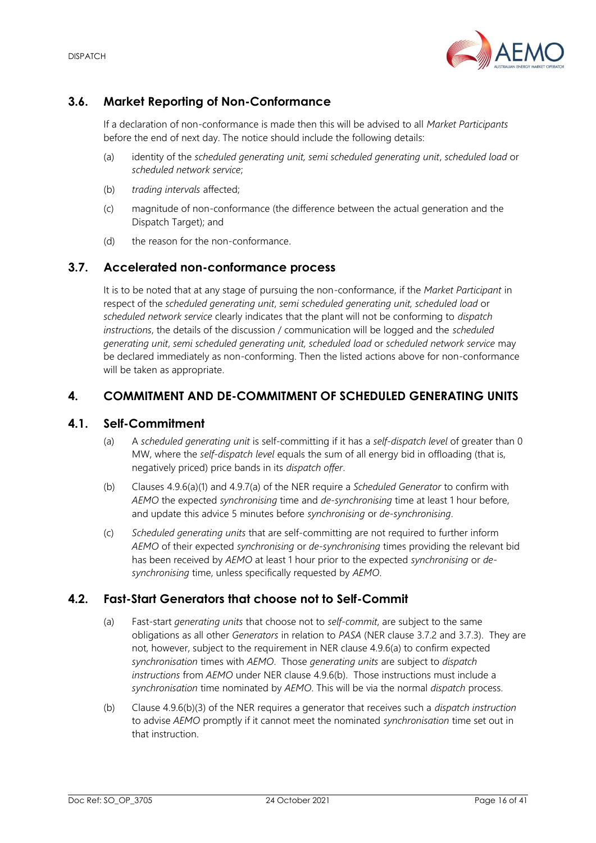# <span id="page-15-0"></span>**3.6. Market Reporting of Non-Conformance**

If a declaration of non-conformance is made then this will be advised to all *Market Participants* before the end of next day. The notice should include the following details:

- (a) identity of the *scheduled generating unit, semi scheduled generating unit*, *scheduled load* or *scheduled network service*;
- (b) *trading intervals* affected;
- (c) magnitude of non-conformance (the difference between the actual generation and the Dispatch Target); and
- (d) the reason for the non-conformance.

## <span id="page-15-1"></span>**3.7. Accelerated non-conformance process**

It is to be noted that at any stage of pursuing the non-conformance, if the *Market Participant* in respect of the *scheduled generating unit*, *semi scheduled generating unit, scheduled load* or *scheduled network service* clearly indicates that the plant will not be conforming to *dispatch instructions*, the details of the discussion / communication will be logged and the *scheduled generating unit*, *semi scheduled generating unit, scheduled load* or *scheduled network service* may be declared immediately as non-conforming. Then the listed actions above for non-conformance will be taken as appropriate.

## <span id="page-15-2"></span>**4. COMMITMENT AND DE-COMMITMENT OF SCHEDULED GENERATING UNITS**

## <span id="page-15-3"></span>**4.1. Self-Commitment**

- (a) A *scheduled generating unit* is self-committing if it has a *self-dispatch level* of greater than 0 MW, where the *self-dispatch level* equals the sum of all energy bid in offloading (that is, negatively priced) price bands in its *dispatch offer*.
- (b) Clauses 4.9.6(a)(1) and 4.9.7(a) of the NER require a *Scheduled Generator* to confirm with *AEMO* the expected *synchronising* time and *de-synchronising* time at least 1 hour before, and update this advice 5 minutes before *synchronising* or *de-synchronising*.
- (c) *Scheduled generating units* that are self-committing are not required to further inform *AEMO* of their expected *synchronising* or *de-synchronising* times providing the relevant bid has been received by *AEMO* at least 1 hour prior to the expected *synchronising* or *desynchronising* time, unless specifically requested by *AEMO*.

## <span id="page-15-4"></span>**4.2. Fast-Start Generators that choose not to Self-Commit**

- (a) Fast-start *generating units* that choose not to *self-commit*, are subject to the same obligations as all other *Generators* in relation to *PASA* (NER clause 3.7.2 and 3.7.3). They are not, however, subject to the requirement in NER clause 4.9.6(a) to confirm expected *synchronisation* times with *AEMO*. Those *generating units* are subject to *dispatch instructions* from *AEMO* under NER clause 4.9.6(b). Those instructions must include a *synchronisation* time nominated by *AEMO*. This will be via the normal *dispatch* process.
- (b) Clause 4.9.6(b)(3) of the NER requires a generator that receives such a *dispatch instruction*

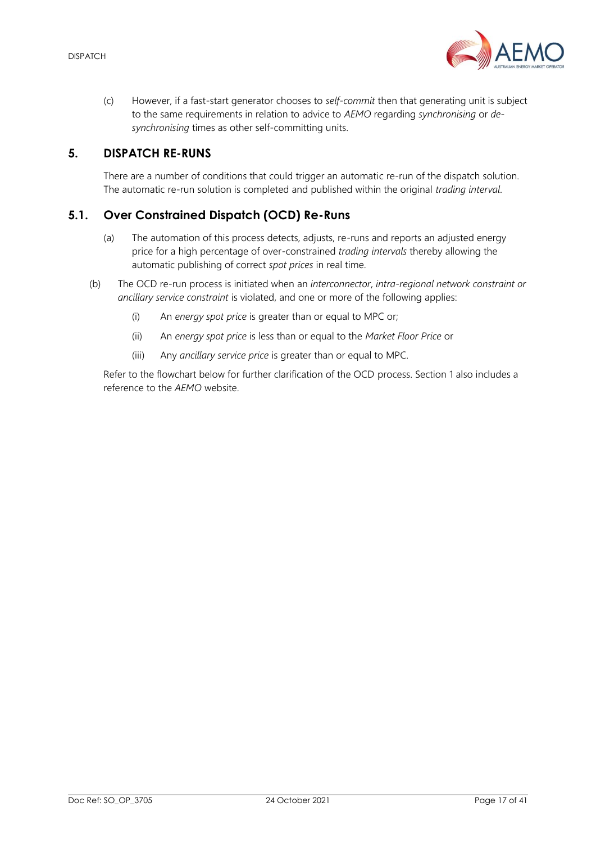

(c) However, if a fast-start generator chooses to *self-commit* then that generating unit is subject to the same requirements in relation to advice to *AEMO* regarding *synchronising* or *desynchronising* times as other self-committing units.

## <span id="page-16-0"></span>**5. DISPATCH RE-RUNS**

There are a number of conditions that could trigger an automatic re-run of the dispatch solution. The automatic re-run solution is completed and published within the original *trading interval*.

## <span id="page-16-1"></span>**5.1. Over Constrained Dispatch (OCD) Re-Runs**

- (a) The automation of this process detects, adjusts, re-runs and reports an adjusted energy price for a high percentage of over-constrained *trading intervals* thereby allowing the automatic publishing of correct *spot prices* in real time.
- (b) The OCD re-run process is initiated when an *interconnector*, *intra-regional network constraint or ancillary service constraint* is violated, and one or more of the following applies:
	- (i) An *energy spot price* is greater than or equal to MPC or;
	- (ii) An *energy spot price* is less than or equal to the *Market Floor Price* or
	- (iii) Any *ancillary service price* is greater than or equal to MPC.

Refer to the flowchart below for further clarification of the OCD process. Section [1](#page-5-0) also includes a reference to the *AEMO* website.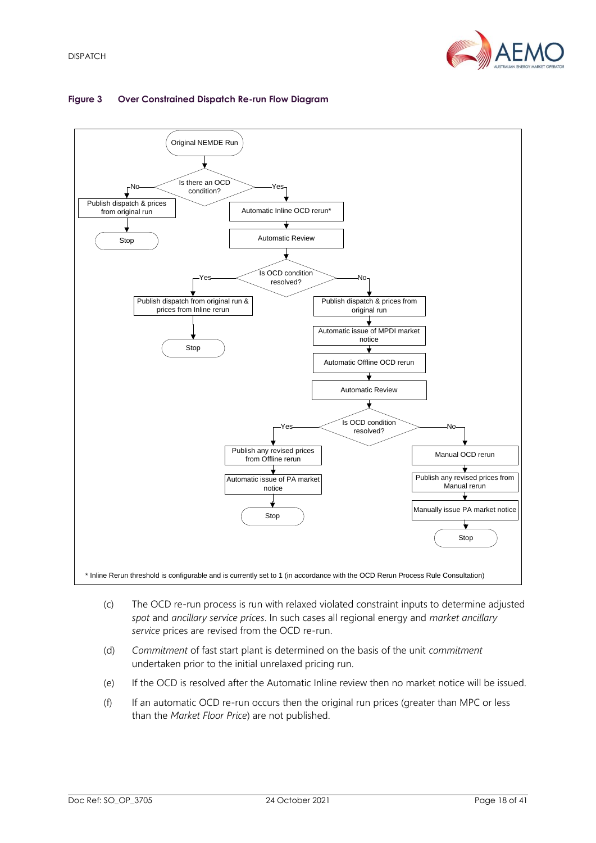

#### <span id="page-17-0"></span>**Figure 3 Over Constrained Dispatch Re-run Flow Diagram**



- (c) The OCD re-run process is run with relaxed violated constraint inputs to determine adjusted *spot* and *ancillary service prices*. In such cases all regional energy and *market ancillary service* prices are revised from the OCD re-run.
- (d) *Commitment* of fast start plant is determined on the basis of the unit *commitment* undertaken prior to the initial unrelaxed pricing run.
- (e) If the OCD is resolved after the Automatic Inline review then no market notice will be issued.
- (f) If an automatic OCD re-run occurs then the original run prices (greater than MPC or less than the *Market Floor Price*) are not published.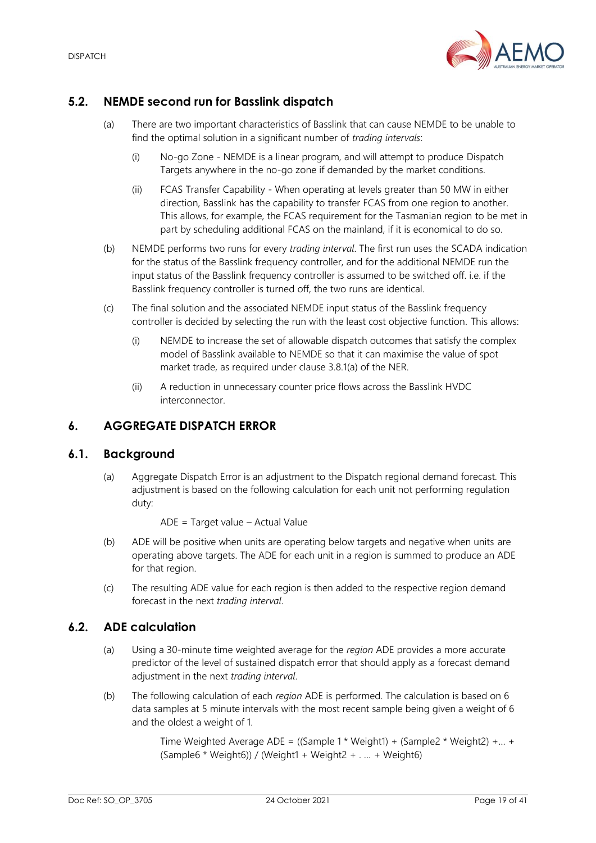

## <span id="page-18-0"></span>**5.2. NEMDE second run for Basslink dispatch**

- (a) There are two important characteristics of Basslink that can cause NEMDE to be unable to find the optimal solution in a significant number of *trading intervals*:
	- (i) No-go Zone NEMDE is a linear program, and will attempt to produce Dispatch Targets anywhere in the no-go zone if demanded by the market conditions.
	- (ii) FCAS Transfer Capability When operating at levels greater than 50 MW in either direction, Basslink has the capability to transfer FCAS from one region to another. This allows, for example, the FCAS requirement for the Tasmanian region to be met in part by scheduling additional FCAS on the mainland, if it is economical to do so.
- (b) NEMDE performs two runs for every *trading interval*. The first run uses the SCADA indication for the status of the Basslink frequency controller, and for the additional NEMDE run the input status of the Basslink frequency controller is assumed to be switched off. i.e. if the Basslink frequency controller is turned off, the two runs are identical.
- (c) The final solution and the associated NEMDE input status of the Basslink frequency controller is decided by selecting the run with the least cost objective function. This allows:
	- (i) NEMDE to increase the set of allowable dispatch outcomes that satisfy the complex model of Basslink available to NEMDE so that it can maximise the value of spot market trade, as required under clause 3.8.1(a) of the NER.
	- (ii) A reduction in unnecessary counter price flows across the Basslink HVDC interconnector.

## <span id="page-18-1"></span>**6. AGGREGATE DISPATCH ERROR**

#### <span id="page-18-2"></span>**6.1. Background**

(a) Aggregate Dispatch Error is an adjustment to the Dispatch regional demand forecast. This adjustment is based on the following calculation for each unit not performing regulation duty:

ADE = Target value – Actual Value

- (b) ADE will be positive when units are operating below targets and negative when units are operating above targets. The ADE for each unit in a region is summed to produce an ADE for that region.
- (c) The resulting ADE value for each region is then added to the respective region demand forecast in the next *trading interval*.

## <span id="page-18-3"></span>**6.2. ADE calculation**

- (a) Using a 30-minute time weighted average for the *region* ADE provides a more accurate predictor of the level of sustained dispatch error that should apply as a forecast demand adjustment in the next *trading interval*.
- (b) The following calculation of each *region* ADE is performed. The calculation is based on 6 data samples at 5 minute intervals with the most recent sample being given a weight of 6 and the oldest a weight of 1.

Time Weighted Average ADE = ((Sample 1 \* Weight1) + (Sample2 \* Weight2) +… +  $(Sample6 * Weight6)$  / (Weight1 + Weight2 + . ... + Weight6)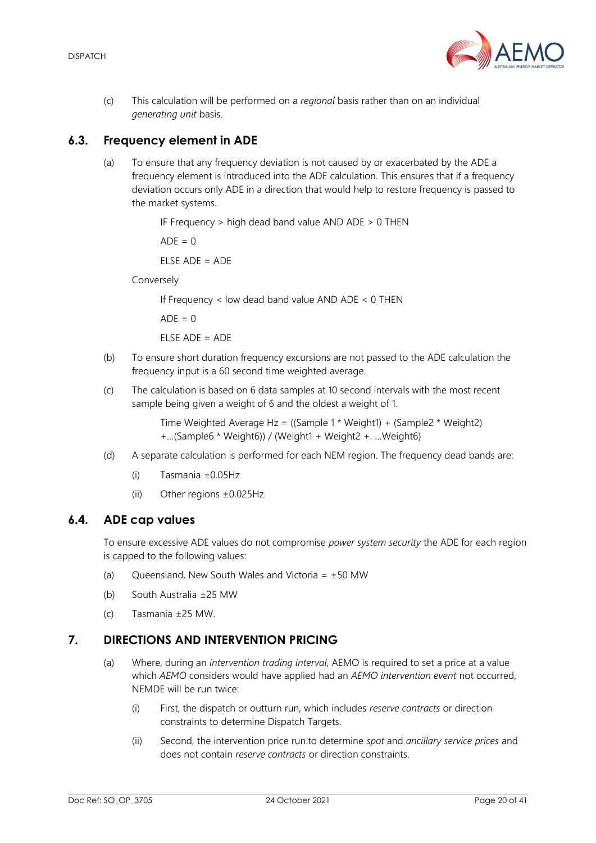

(c) This calculation will be performed on a *regional* basis rather than on an individual *generating unit* basis.

## <span id="page-19-0"></span>**6.3. Frequency element in ADE**

(a) To ensure that any frequency deviation is not caused by or exacerbated by the ADE a frequency element is introduced into the ADE calculation. This ensures that if a frequency deviation occurs only ADE in a direction that would help to restore frequency is passed to the market systems.

IF Frequency > high dead band value AND ADE > 0 THEN

 $ADF = 0$ 

 $F$ LSE ADE = ADE

Conversely

If Frequency < low dead band value AND ADE < 0 THEN

 $ADF = 0$ 

 $F$ LSE ADE = ADE

- (b) To ensure short duration frequency excursions are not passed to the ADE calculation the frequency input is a 60 second time weighted average.
- (c) The calculation is based on 6 data samples at 10 second intervals with the most recent sample being given a weight of 6 and the oldest a weight of 1.

Time Weighted Average Hz = ((Sample 1 \* Weight1) + (Sample2 \* Weight2) +…(Sample6 \* Weight6)) / (Weight1 + Weight2 +. …Weight6)

- (d) A separate calculation is performed for each NEM region. The frequency dead bands are:
	- (i) Tasmania ±0.05Hz
	- (ii) Other regions ±0.025Hz

#### <span id="page-19-1"></span>**6.4. ADE cap values**

To ensure excessive ADE values do not compromise *power system security* the ADE for each region is capped to the following values:

- (a) Queensland, New South Wales and Victoria =  $\pm 50$  MW
- (b) South Australia ±25 MW
- (c) Tasmania ±25 MW.

## <span id="page-19-2"></span>**7. DIRECTIONS AND INTERVENTION PRICING**

- (a) Where, during an *intervention trading interval*, AEMO is required to set a price at a value which *AEMO* considers would have applied had an *AEMO intervention event* not occurred, NEMDE will be run twice:
	- (i) First, the dispatch or outturn run, which includes *reserve contracts* or direction constraints to determine Dispatch Targets.
	- (ii) Second, the intervention price run.to determine *spot* and *ancillary service prices* and does not contain *reserve contracts* or direction constraints.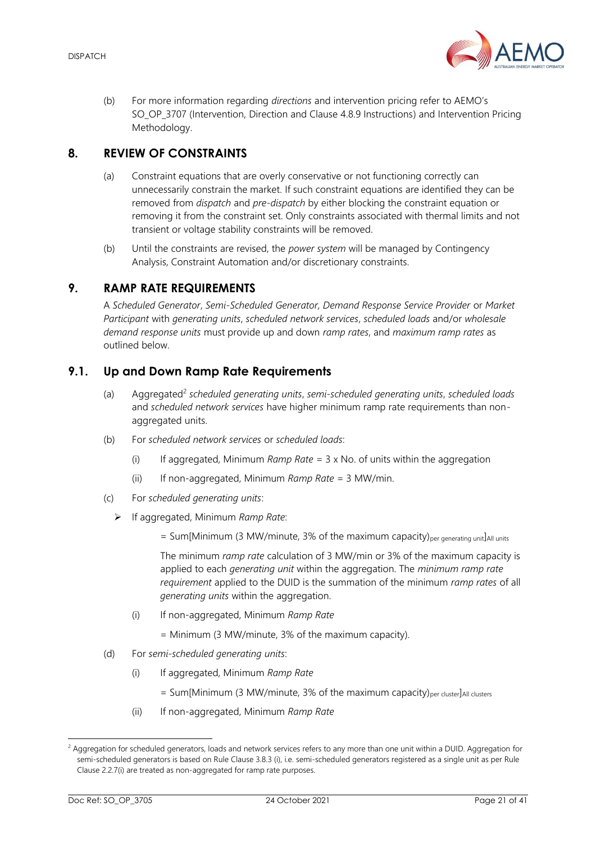

(b) For more information regarding *directions* and intervention pricing refer to AEMO's SO\_OP\_3707 (Intervention, Direction and Clause 4.8.9 Instructions) and Intervention Pricing Methodology.

## <span id="page-20-0"></span>**8. REVIEW OF CONSTRAINTS**

- (a) Constraint equations that are overly conservative or not functioning correctly can unnecessarily constrain the market. If such constraint equations are identified they can be removed from *dispatch* and *pre-dispatch* by either blocking the constraint equation or removing it from the constraint set. Only constraints associated with thermal limits and not transient or voltage stability constraints will be removed.
- (b) Until the constraints are revised, the *power system* will be managed by Contingency Analysis, Constraint Automation and/or discretionary constraints.

## <span id="page-20-1"></span>**9. RAMP RATE REQUIREMENTS**

A *Scheduled Generator*, *Semi-Scheduled Generator, Demand Response Service Provider* or *Market Participant* with *generating units*, *scheduled network services*, *scheduled loads* and/or *wholesale demand response units* must provide up and down *ramp rates*, and *maximum ramp rates* as outlined below.

## <span id="page-20-2"></span>**9.1. Up and Down Ramp Rate Requirements**

- (a) Aggregated<sup>2</sup> *scheduled generating units*, *semi-scheduled generating units*, *scheduled loads* and *scheduled network services* have higher minimum ramp rate requirements than nonaggregated units.
- (b) For *scheduled network services* or *scheduled loads*:
	- (i) If aggregated, Minimum *Ramp Rate* = 3 x No. of units within the aggregation
	- (ii) If non-aggregated, Minimum *Ramp Rate* = 3 MW/min.
- (c) For *scheduled generating units*:
	- ➢ If aggregated, Minimum *Ramp Rate*:
		- = Sum[Minimum (3 MW/minute, 3% of the maximum capacity)<sub>per generating unit</sub>]All units

The minimum *ramp rate* calculation of 3 MW/min or 3% of the maximum capacity is applied to each *generating unit* within the aggregation. The *minimum ramp rate requirement* applied to the DUID is the summation of the minimum *ramp rates* of all *generating units* within the aggregation.

(i) If non-aggregated, Minimum *Ramp Rate*

= Minimum (3 MW/minute, 3% of the maximum capacity).

- (d) For *semi-scheduled generating units*:
	- (i) If aggregated, Minimum *Ramp Rate*
		- $=$  Sum[Minimum (3 MW/minute, 3% of the maximum capacity)<sub>per cluster</sub>]<sub>All clusters</sub>
	- (ii) If non-aggregated, Minimum *Ramp Rate*

<sup>&</sup>lt;sup>2</sup> Aggregation for scheduled generators, loads and network services refers to any more than one unit within a DUID. Aggregation for semi-scheduled generators is based on Rule Clause 3.8.3 (i), i.e. semi-scheduled generators registered as a single unit as per Rule Clause 2.2.7(i) are treated as non-aggregated for ramp rate purposes.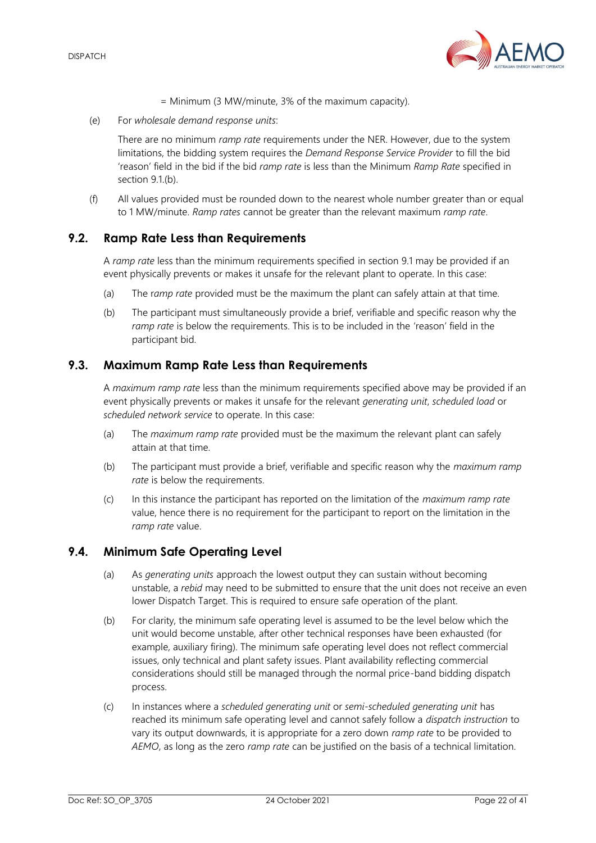

= Minimum (3 MW/minute, 3% of the maximum capacity).

(e) For *wholesale demand response units*:

There are no minimum *ramp rate* requirements under the NER. However, due to the system limitations, the bidding system requires the *Demand Response Service Provider* to fill the bid 'reason' field in the bid if the bid *ramp rate* is less than the Minimum *Ramp Rate* specified in section 9.1.(b).

(f) All values provided must be rounded down to the nearest whole number greater than or equal to 1 MW/minute. *Ramp rates* cannot be greater than the relevant maximum *ramp rate*.

## <span id="page-21-0"></span>**9.2. Ramp Rate Less than Requirements**

A *ramp rate* less than the minimum requirements specified in section [9.1](#page-20-2) may be provided if an event physically prevents or makes it unsafe for the relevant plant to operate. In this case:

- (a) The r*amp rate* provided must be the maximum the plant can safely attain at that time.
- (b) The participant must simultaneously provide a brief, verifiable and specific reason why the *ramp rate* is below the requirements. This is to be included in the 'reason' field in the participant bid.

## <span id="page-21-1"></span>**9.3. Maximum Ramp Rate Less than Requirements**

A *maximum ramp rate* less than the minimum requirements specified above may be provided if an event physically prevents or makes it unsafe for the relevant *generating unit*, *scheduled load* or *scheduled network service* to operate. In this case:

- (a) The *maximum ramp rate* provided must be the maximum the relevant plant can safely attain at that time.
- (b) The participant must provide a brief, verifiable and specific reason why the *maximum ramp rate* is below the requirements.
- (c) In this instance the participant has reported on the limitation of the *maximum ramp rate* value, hence there is no requirement for the participant to report on the limitation in the *ramp rate* value.

## <span id="page-21-2"></span>**9.4. Minimum Safe Operating Level**

- (a) As *generating units* approach the lowest output they can sustain without becoming unstable, a *rebid* may need to be submitted to ensure that the unit does not receive an even lower Dispatch Target. This is required to ensure safe operation of the plant.
- (b) For clarity, the minimum safe operating level is assumed to be the level below which the unit would become unstable, after other technical responses have been exhausted (for example, auxiliary firing). The minimum safe operating level does not reflect commercial issues, only technical and plant safety issues. Plant availability reflecting commercial considerations should still be managed through the normal price-band bidding dispatch process.
- (c) In instances where a *scheduled generating unit* or *semi-scheduled generating unit* has reached its minimum safe operating level and cannot safely follow a *dispatch instruction* to vary its output downwards, it is appropriate for a zero down *ramp rate* to be provided to *AEMO*, as long as the zero *ramp rate* can be justified on the basis of a technical limitation.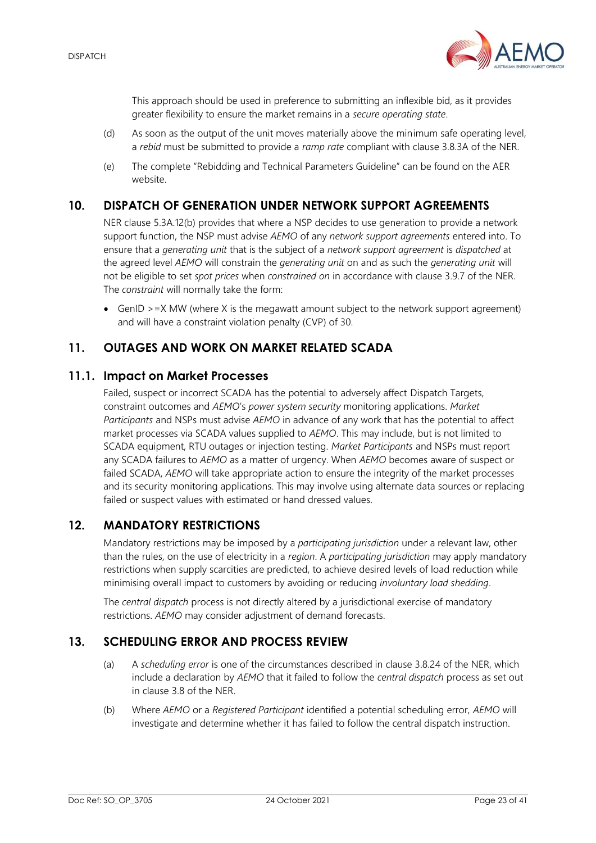

This approach should be used in preference to submitting an inflexible bid, as it provides greater flexibility to ensure the market remains in a *secure operating state*.

- (d) As soon as the output of the unit moves materially above the minimum safe operating level, a *rebid* must be submitted to provide a *ramp rate* compliant with clause 3.8.3A of the NER.
- (e) The complete "Rebidding and Technical Parameters Guideline" can be found on the AER website.

## <span id="page-22-0"></span>**10. DISPATCH OF GENERATION UNDER NETWORK SUPPORT AGREEMENTS**

NER clause 5.3A.12(b) provides that where a NSP decides to use generation to provide a network support function, the NSP must advise *AEMO* of any *network support agreements* entered into. To ensure that a *generating unit* that is the subject of a *network support agreement* is *dispatched* at the agreed level *AEMO* will constrain the *generating unit* on and as such the *generating unit* will not be eligible to set *spot prices* when *constrained on* in accordance with clause 3.9.7 of the NER. The *constraint* will normally take the form:

• GenID > = X MW (where X is the megawatt amount subject to the network support agreement) and will have a constraint violation penalty (CVP) of 30.

## <span id="page-22-1"></span>**11. OUTAGES AND WORK ON MARKET RELATED SCADA**

## <span id="page-22-2"></span>**11.1. Impact on Market Processes**

Failed, suspect or incorrect SCADA has the potential to adversely affect Dispatch Targets, constraint outcomes and *AEMO*'s *power system security* monitoring applications. *Market Participants* and NSPs must advise *AEMO* in advance of any work that has the potential to affect market processes via SCADA values supplied to *AEMO*. This may include, but is not limited to SCADA equipment, RTU outages or injection testing. *Market Participants* and NSPs must report any SCADA failures to *AEMO* as a matter of urgency. When *AEMO* becomes aware of suspect or failed SCADA, *AEMO* will take appropriate action to ensure the integrity of the market processes and its security monitoring applications. This may involve using alternate data sources or replacing failed or suspect values with estimated or hand dressed values.

## <span id="page-22-3"></span>**12. MANDATORY RESTRICTIONS**

Mandatory restrictions may be imposed by a *participating jurisdiction* under a relevant law, other than the rules, on the use of electricity in a *region*. A *participating jurisdiction* may apply mandatory restrictions when supply scarcities are predicted, to achieve desired levels of load reduction while minimising overall impact to customers by avoiding or reducing *involuntary load shedding*.

The *central dispatch* process is not directly altered by a jurisdictional exercise of mandatory restrictions. *AEMO* may consider adjustment of demand forecasts.

## <span id="page-22-4"></span>**13. SCHEDULING ERROR AND PROCESS REVIEW**

- (a) A *scheduling error* is one of the circumstances described in clause 3.8.24 of the NER, which include a declaration by *AEMO* that it failed to follow the *central dispatch* process as set out in clause 3.8 of the NER.
- (b) Where *AEMO* or a *Registered Participant* identified a potential scheduling error, *AEMO* will investigate and determine whether it has failed to follow the central dispatch instruction.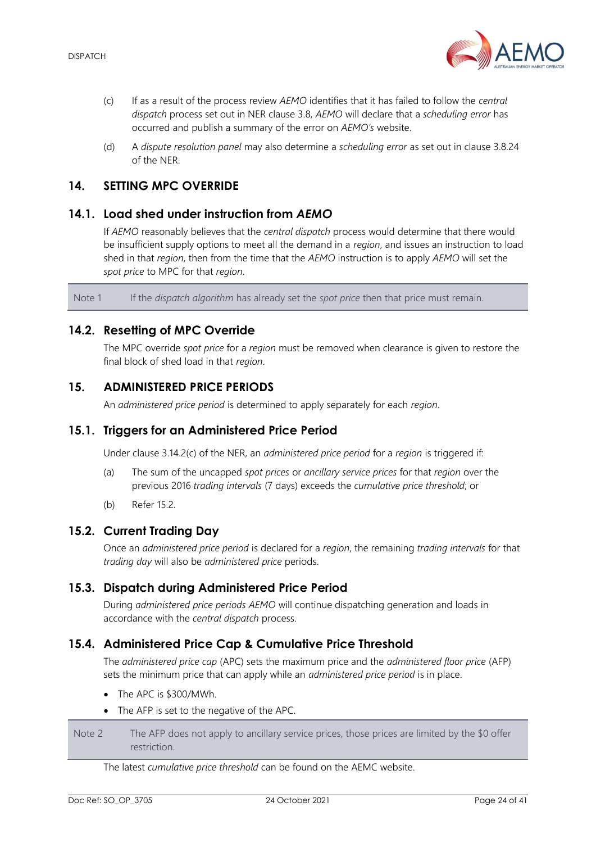

- (c) If as a result of the process review *AEMO* identifies that it has failed to follow the *central dispatch* process set out in NER clause 3.8, *AEMO* will declare that a *scheduling error* has occurred and publish a summary of the error on *AEMO's* website.
- (d) A *dispute resolution panel* may also determine a *scheduling error* as set out in clause 3.8.24 of the NER.

## <span id="page-23-0"></span>**14. SETTING MPC OVERRIDE**

## <span id="page-23-1"></span>**14.1. Load shed under instruction from** *AEMO*

If *AEMO* reasonably believes that the *central dispatch* process would determine that there would be insufficient supply options to meet all the demand in a *region*, and issues an instruction to load shed in that *region*, then from the time that the *AEMO* instruction is to apply *AEMO* will set the *spot price* to MPC for that *region*.

Note 1 If the *dispatch algorithm* has already set the *spot price* then that price must remain.

## <span id="page-23-2"></span>**14.2. Resetting of MPC Override**

The MPC override *spot price* for a *region* must be removed when clearance is given to restore the final block of shed load in that *region*.

## <span id="page-23-3"></span>**15. ADMINISTERED PRICE PERIODS**

An *administered price period* is determined to apply separately for each *region*.

#### <span id="page-23-4"></span>**15.1. Triggers for an Administered Price Period**

Under clause 3.14.2(c) of the NER, an *administered price period* for a *region* is triggered if:

- (a) The sum of the uncapped *spot prices* or *ancillary service prices* for that *region* over the previous 2016 *trading intervals* (7 days) exceeds the *cumulative price threshold*; or
- (b) Refer [15.2.](#page-23-5)

## <span id="page-23-5"></span>**15.2. Current Trading Day**

Once an *administered price period* is declared for a *region*, the remaining *trading intervals* for that *trading day* will also be *administered price* periods.

## <span id="page-23-6"></span>**15.3. Dispatch during Administered Price Period**

During *administered price periods AEMO* will continue dispatching generation and loads in accordance with the *central dispatch* process.

#### <span id="page-23-7"></span>**15.4. Administered Price Cap & Cumulative Price Threshold**

The *administered price cap* (APC) sets the maximum price and the *administered floor price* (AFP) sets the minimum price that can apply while an *administered price period* is in place.

- The APC is \$300/MWh.
- The AFP is set to the negative of the APC.

Note 2 The AFP does not apply to ancillary service prices, those prices are limited by the \$0 offer restriction.

#### The latest *cumulative price threshold* can be found on the AEMC website.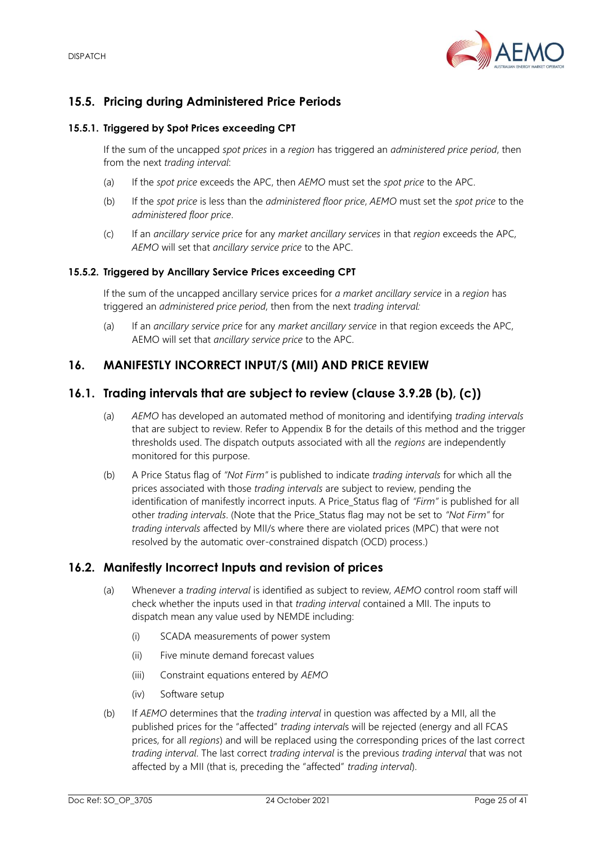

## <span id="page-24-0"></span>**15.5. Pricing during Administered Price Periods**

#### **15.5.1. Triggered by Spot Prices exceeding CPT**

If the sum of the uncapped *spot prices* in a *region* has triggered an *administered price period*, then from the next *trading interval*:

- (a) If the *spot price* exceeds the APC, then *AEMO* must set the *spot price* to the APC.
- (b) If the *spot price* is less than the *administered floor price*, *AEMO* must set the *spot price* to the *administered floor price*.
- (c) If an *ancillary service price* for any *market ancillary services* in that *region* exceeds the APC, *AEMO* will set that *ancillary service price* to the APC.

#### **15.5.2. Triggered by Ancillary Service Prices exceeding CPT**

If the sum of the uncapped ancillary service prices for *a market ancillary service* in a *region* has triggered an *administered price period*, then from the next *trading interval:*

(a) If an *ancillary service price* for any *market ancillary service* in that region exceeds the APC, AEMO will set that *ancillary service price* to the APC.

## <span id="page-24-1"></span>**16. MANIFESTLY INCORRECT INPUT/S (MII) AND PRICE REVIEW**

## <span id="page-24-2"></span>**16.1. Trading intervals that are subject to review (clause 3.9.2B (b), (c))**

- (a) *AEMO* has developed an automated method of monitoring and identifying *trading intervals* that are subject to review. Refer to Appendix B for the details of this method and the trigger thresholds used. The dispatch outputs associated with all the *regions* are independently monitored for this purpose.
- (b) A Price Status flag of *"Not Firm"* is published to indicate *trading intervals* for which all the prices associated with those *trading intervals* are subject to review, pending the identification of manifestly incorrect inputs. A Price\_Status flag of *"Firm"* is published for all other *trading intervals*. (Note that the Price\_Status flag may not be set to *"Not Firm"* for *trading intervals* affected by MII/s where there are violated prices (MPC) that were not resolved by the automatic over-constrained dispatch (OCD) process.)

#### <span id="page-24-3"></span>**16.2. Manifestly Incorrect Inputs and revision of prices**

- (a) Whenever a *trading interval* is identified as subject to review, *AEMO* control room staff will check whether the inputs used in that *trading interval* contained a MII. The inputs to dispatch mean any value used by NEMDE including:
	- (i) SCADA measurements of power system
	- (ii) Five minute demand forecast values
	- (iii) Constraint equations entered by *AEMO*
	- (iv) Software setup
- (b) If *AEMO* determines that the *trading interval* in question was affected by a MII, all the published prices for the "affected" *trading interval*s will be rejected (energy and all FCAS prices, for all *regions*) and will be replaced using the corresponding prices of the last correct *trading interval*. The last correct *trading interval* is the previous *trading interval* that was not affected by a MII (that is, preceding the "affected" *trading interval*).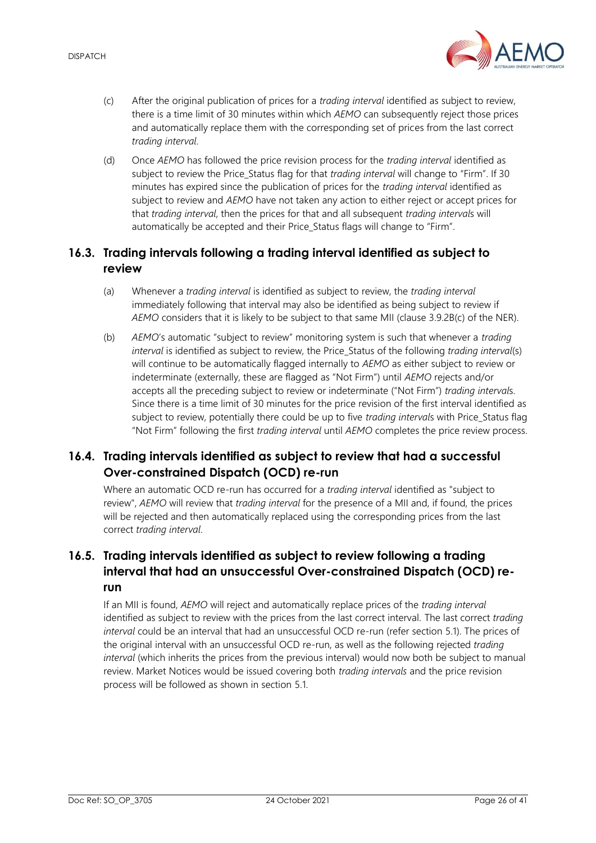

- <span id="page-25-0"></span>(c) After the original publication of prices for a *trading interval* identified as subject to review, there is a time limit of 30 minutes within which *AEMO* can subsequently reject those prices and automatically replace them with the corresponding set of prices from the last correct *trading interval*.
- (d) Once *AEMO* has followed the price revision process for the *trading interval* identified as subject to review the Price Status flag for that *trading interval* will change to "Firm". If 30 minutes has expired since the publication of prices for the *trading interval* identified as subject to review and *AEMO* have not taken any action to either reject or accept prices for that *trading interval*, then the prices for that and all subsequent *trading interval*s will automatically be accepted and their Price Status flags will change to "Firm".

## **16.3. Trading intervals following a trading interval identified as subject to review**

- (a) Whenever a *trading interval* is identified as subject to review, the *trading interval* immediately following that interval may also be identified as being subject to review if *AEMO* considers that it is likely to be subject to that same MII (clause 3.9.2B(c) of the NER).
- (b) *AEMO*'s automatic "subject to review" monitoring system is such that whenever a *trading interval* is identified as subject to review, the Price\_Status of the following *trading interval*(s) will continue to be automatically flagged internally to *AEMO* as either subject to review or indeterminate (externally, these are flagged as "Not Firm") until *AEMO* rejects and/or accepts all the preceding subject to review or indeterminate ("Not Firm") *trading interval*s. Since there is a time limit of 30 minutes for the price revision of the first interval identified as subject to review, potentially there could be up to five *trading intervals* with Price Status flag "Not Firm" following the first *trading interval* until *AEMO* completes the price review process.

## **16.4. Trading intervals identified as subject to review that had a successful Over-constrained Dispatch (OCD) re-run**

Where an automatic OCD re-run has occurred for a *trading interval* identified as "subject to review", *AEMO* will review that *trading interval* for the presence of a MII and, if found, the prices will be rejected and then automatically replaced using the corresponding prices from the last correct *trading interval*.

## **16.5. Trading intervals identified as subject to review following a trading interval that had an unsuccessful Over-constrained Dispatch (OCD) rerun**

If an MII is found, *AEMO* will reject and automatically replace prices of the *trading interval* identified as subject to review with the prices from the last correct interval. The last correct *trading interval* could be an interval that had an unsuccessful OCD re-run (refer section [5.1\)](#page-16-1). The prices of the original interval with an unsuccessful OCD re-run, as well as the following rejected *trading interval* (which inherits the prices from the previous interval) would now both be subject to manual review. Market Notices would be issued covering both *trading intervals* and the price revision process will be followed as shown in section [5.1.](#page-16-1)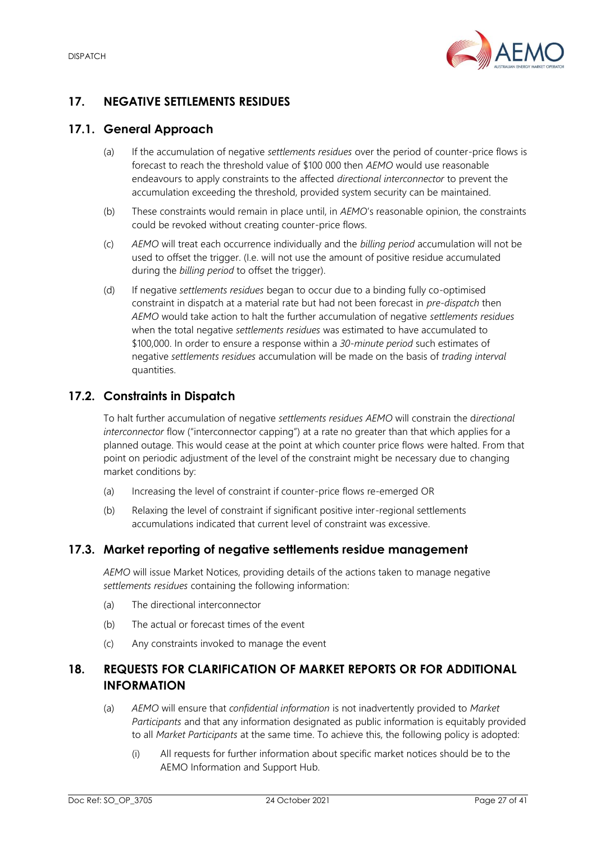

# <span id="page-26-0"></span>**17. NEGATIVE SETTLEMENTS RESIDUES**

## <span id="page-26-1"></span>**17.1. General Approach**

- (a) If the accumulation of negative *settlements residues* over the period of counter-price flows is forecast to reach the threshold value of \$100 000 then *AEMO* would use reasonable endeavours to apply constraints to the affected *directional interconnector* to prevent the accumulation exceeding the threshold, provided system security can be maintained.
- (b) These constraints would remain in place until, in *AEMO*'s reasonable opinion, the constraints could be revoked without creating counter-price flows.
- (c) *AEMO* will treat each occurrence individually and the *billing period* accumulation will not be used to offset the trigger. (I.e. will not use the amount of positive residue accumulated during the *billing period* to offset the trigger).
- (d) If negative *settlements residues* began to occur due to a binding fully co-optimised constraint in dispatch at a material rate but had not been forecast in *pre-dispatch* then *AEMO* would take action to halt the further accumulation of negative *settlements residues* when the total negative *settlements residues* was estimated to have accumulated to \$100,000. In order to ensure a response within a *30-minute period* such estimates of negative *settlements residues* accumulation will be made on the basis of *trading interval* quantities.

## <span id="page-26-2"></span>**17.2. Constraints in Dispatch**

To halt further accumulation of negative *settlements residues AEMO* will constrain the d*irectional interconnector* flow ("interconnector capping") at a rate no greater than that which applies for a planned outage. This would cease at the point at which counter price flows were halted. From that point on periodic adjustment of the level of the constraint might be necessary due to changing market conditions by:

- (a) Increasing the level of constraint if counter-price flows re-emerged OR
- (b) Relaxing the level of constraint if significant positive inter-regional settlements accumulations indicated that current level of constraint was excessive.

## <span id="page-26-3"></span>**17.3. Market reporting of negative settlements residue management**

*AEMO* will issue Market Notices, providing details of the actions taken to manage negative *settlements residues* containing the following information:

- (a) The directional interconnector
- (b) The actual or forecast times of the event
- (c) Any constraints invoked to manage the event

## <span id="page-26-4"></span>**18. REQUESTS FOR CLARIFICATION OF MARKET REPORTS OR FOR ADDITIONAL INFORMATION**

- (a) *AEMO* will ensure that *confidential information* is not inadvertently provided to *Market Participants* and that any information designated as public information is equitably provided to all *Market Participants* at the same time. To achieve this, the following policy is adopted:
	- (i) All requests for further information about specific market notices should be to the AEMO Information and Support Hub.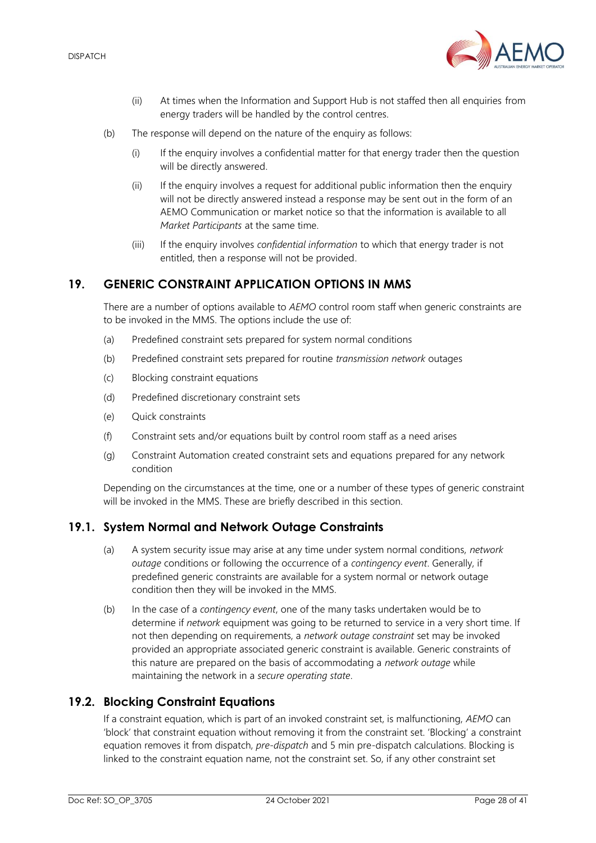

- (ii) At times when the Information and Support Hub is not staffed then all enquiries from energy traders will be handled by the control centres.
- (b) The response will depend on the nature of the enquiry as follows:
	- (i) If the enquiry involves a confidential matter for that energy trader then the question will be directly answered.
	- (ii) If the enquiry involves a request for additional public information then the enquiry will not be directly answered instead a response may be sent out in the form of an AEMO Communication or market notice so that the information is available to all *Market Participants* at the same time.
	- (iii) If the enquiry involves *confidential information* to which that energy trader is not entitled, then a response will not be provided.

## <span id="page-27-0"></span>**19. GENERIC CONSTRAINT APPLICATION OPTIONS IN MMS**

There are a number of options available to *AEMO* control room staff when generic constraints are to be invoked in the MMS. The options include the use of:

- (a) Predefined constraint sets prepared for system normal conditions
- (b) Predefined constraint sets prepared for routine *transmission network* outages
- (c) Blocking constraint equations
- (d) Predefined discretionary constraint sets
- (e) Quick constraints
- (f) Constraint sets and/or equations built by control room staff as a need arises
- (g) Constraint Automation created constraint sets and equations prepared for any network condition

Depending on the circumstances at the time, one or a number of these types of generic constraint will be invoked in the MMS. These are briefly described in this section.

#### <span id="page-27-1"></span>**19.1. System Normal and Network Outage Constraints**

- (a) A system security issue may arise at any time under system normal conditions, *network outage* conditions or following the occurrence of a *contingency event*. Generally, if predefined generic constraints are available for a system normal or network outage condition then they will be invoked in the MMS.
- (b) In the case of a *contingency event*, one of the many tasks undertaken would be to determine if *network* equipment was going to be returned to service in a very short time. If not then depending on requirements, a *network outage constraint* set may be invoked provided an appropriate associated generic constraint is available. Generic constraints of this nature are prepared on the basis of accommodating a *network outage* while maintaining the network in a *secure operating state*.

## <span id="page-27-2"></span>**19.2. Blocking Constraint Equations**

If a constraint equation, which is part of an invoked constraint set, is malfunctioning, *AEMO* can 'block' that constraint equation without removing it from the constraint set. 'Blocking' a constraint equation removes it from dispatch, *pre-dispatch* and 5 min pre-dispatch calculations. Blocking is linked to the constraint equation name, not the constraint set. So, if any other constraint set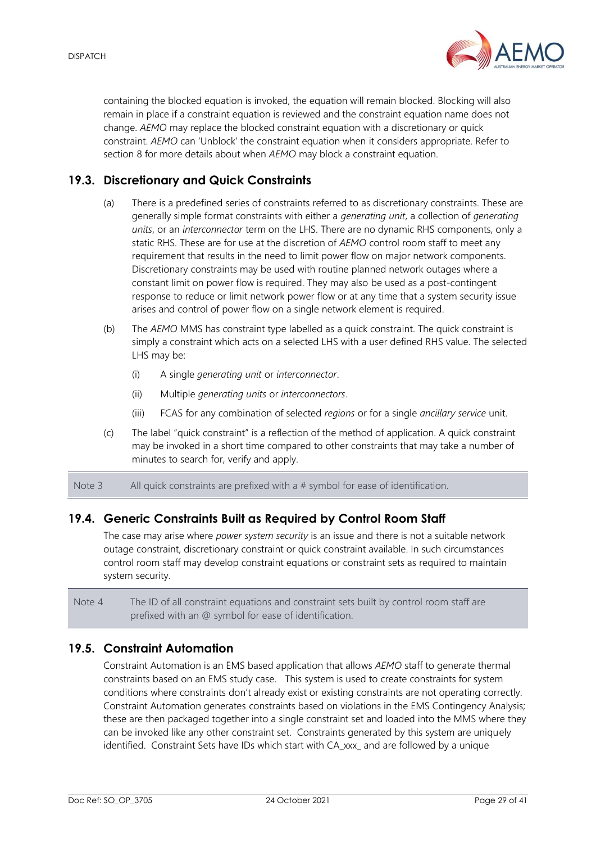

containing the blocked equation is invoked, the equation will remain blocked. Blocking will also remain in place if a constraint equation is reviewed and the constraint equation name does not change. *AEMO* may replace the blocked constraint equation with a discretionary or quick constraint. *AEMO* can 'Unblock' the constraint equation when it considers appropriate. Refer to section [8](#page-20-0) for more details about when *AEMO* may block a constraint equation.

## <span id="page-28-0"></span>**19.3. Discretionary and Quick Constraints**

- (a) There is a predefined series of constraints referred to as discretionary constraints. These are generally simple format constraints with either a *generating unit*, a collection of *generating units*, or an *interconnector* term on the LHS. There are no dynamic RHS components, only a static RHS. These are for use at the discretion of *AEMO* control room staff to meet any requirement that results in the need to limit power flow on major network components. Discretionary constraints may be used with routine planned network outages where a constant limit on power flow is required. They may also be used as a post-contingent response to reduce or limit network power flow or at any time that a system security issue arises and control of power flow on a single network element is required.
- (b) The *AEMO* MMS has constraint type labelled as a quick constraint. The quick constraint is simply a constraint which acts on a selected LHS with a user defined RHS value. The selected LHS may be:
	- (i) A single *generating unit* or *interconnector*.
	- (ii) Multiple *generating units* or *interconnectors*.
	- (iii) FCAS for any combination of selected *regions* or for a single *ancillary service* unit.
- (c) The label "quick constraint" is a reflection of the method of application. A quick constraint may be invoked in a short time compared to other constraints that may take a number of minutes to search for, verify and apply.

Note 3 All quick constraints are prefixed with a # symbol for ease of identification.

## <span id="page-28-1"></span>**19.4. Generic Constraints Built as Required by Control Room Staff**

The case may arise where *power system security* is an issue and there is not a suitable network outage constraint, discretionary constraint or quick constraint available. In such circumstances control room staff may develop constraint equations or constraint sets as required to maintain system security.

Note 4 The ID of all constraint equations and constraint sets built by control room staff are prefixed with an @ symbol for ease of identification.

## <span id="page-28-2"></span>**19.5. Constraint Automation**

Constraint Automation is an EMS based application that allows *AEMO* staff to generate thermal constraints based on an EMS study case. This system is used to create constraints for system conditions where constraints don't already exist or existing constraints are not operating correctly. Constraint Automation generates constraints based on violations in the EMS Contingency Analysis; these are then packaged together into a single constraint set and loaded into the MMS where they can be invoked like any other constraint set. Constraints generated by this system are uniquely identified. Constraint Sets have IDs which start with CA\_xxx\_ and are followed by a unique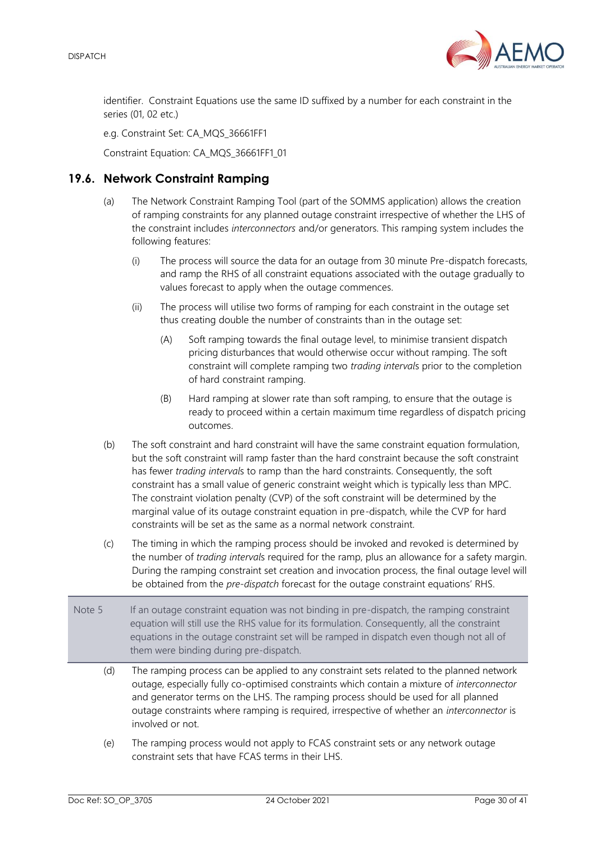

identifier. Constraint Equations use the same ID suffixed by a number for each constraint in the series (01, 02 etc.)

e.g. Constraint Set: CA\_MQS\_36661FF1

Constraint Equation: CA\_MQS\_36661FF1\_01

## <span id="page-29-0"></span>**19.6. Network Constraint Ramping**

- (a) The Network Constraint Ramping Tool (part of the SOMMS application) allows the creation of ramping constraints for any planned outage constraint irrespective of whether the LHS of the constraint includes *interconnectors* and/or generators. This ramping system includes the following features:
	- (i) The process will source the data for an outage from 30 minute Pre-dispatch forecasts, and ramp the RHS of all constraint equations associated with the outage gradually to values forecast to apply when the outage commences.
	- (ii) The process will utilise two forms of ramping for each constraint in the outage set thus creating double the number of constraints than in the outage set:
		- (A) Soft ramping towards the final outage level, to minimise transient dispatch pricing disturbances that would otherwise occur without ramping. The soft constraint will complete ramping two *trading interval*s prior to the completion of hard constraint ramping.
		- (B) Hard ramping at slower rate than soft ramping, to ensure that the outage is ready to proceed within a certain maximum time regardless of dispatch pricing outcomes.
- (b) The soft constraint and hard constraint will have the same constraint equation formulation, but the soft constraint will ramp faster than the hard constraint because the soft constraint has fewer *trading interval*s to ramp than the hard constraints. Consequently, the soft constraint has a small value of generic constraint weight which is typically less than MPC. The constraint violation penalty (CVP) of the soft constraint will be determined by the marginal value of its outage constraint equation in pre-dispatch, while the CVP for hard constraints will be set as the same as a normal network constraint.
- (c) The timing in which the ramping process should be invoked and revoked is determined by the number of *trading interval*s required for the ramp, plus an allowance for a safety margin. During the ramping constraint set creation and invocation process, the final outage level will be obtained from the *pre-dispatch* forecast for the outage constraint equations' RHS.
- Note 5 If an outage constraint equation was not binding in pre-dispatch, the ramping constraint equation will still use the RHS value for its formulation. Consequently, all the constraint equations in the outage constraint set will be ramped in dispatch even though not all of them were binding during pre-dispatch.
	- (d) The ramping process can be applied to any constraint sets related to the planned network outage, especially fully co-optimised constraints which contain a mixture of *interconnector* and generator terms on the LHS. The ramping process should be used for all planned outage constraints where ramping is required, irrespective of whether an *interconnector* is involved or not.
	- (e) The ramping process would not apply to FCAS constraint sets or any network outage constraint sets that have FCAS terms in their LHS.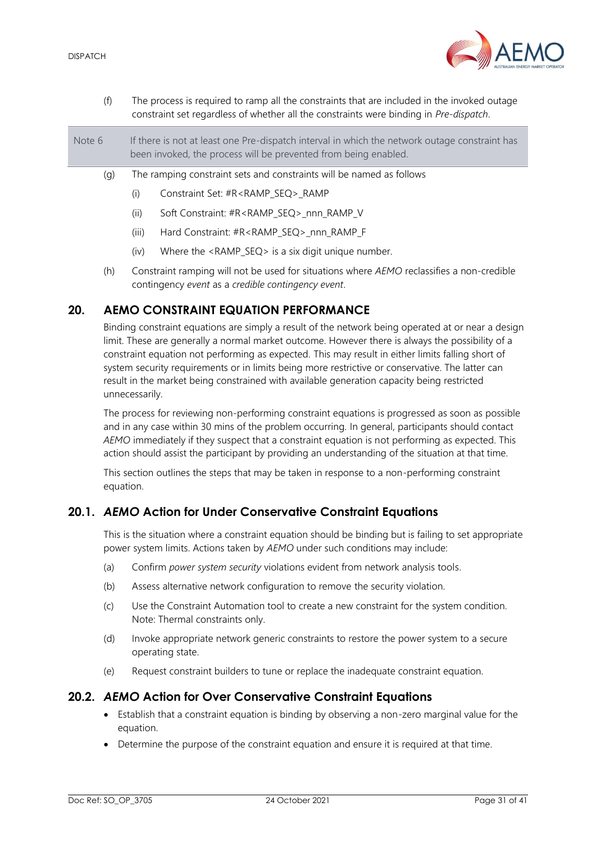

| (f)    | The process is required to ramp all the constraints that are included in the invoked outage<br>constraint set regardless of whether all the constraints were binding in Pre-dispatch. |                                                                                                                                                                                                                                                                                               |  |
|--------|---------------------------------------------------------------------------------------------------------------------------------------------------------------------------------------|-----------------------------------------------------------------------------------------------------------------------------------------------------------------------------------------------------------------------------------------------------------------------------------------------|--|
| Note 6 | If there is not at least one Pre-dispatch interval in which the network outage constraint has<br>been invoked, the process will be prevented from being enabled.                      |                                                                                                                                                                                                                                                                                               |  |
| (g)    | The ramping constraint sets and constraints will be named as follows                                                                                                                  |                                                                                                                                                                                                                                                                                               |  |
|        | (i)                                                                                                                                                                                   | Constraint Set: #R <ramp seq=""> RAMP</ramp>                                                                                                                                                                                                                                                  |  |
|        | (ii)                                                                                                                                                                                  | Soft Constraint: #R <ramp seq=""> nnn RAMP V</ramp>                                                                                                                                                                                                                                           |  |
|        | (iii)                                                                                                                                                                                 | Hard Constraint: #R <ramp seq=""> nnn RAMP F</ramp>                                                                                                                                                                                                                                           |  |
|        | (iv)                                                                                                                                                                                  | Where the <ramp_seq> is a six digit unique number.</ramp_seq>                                                                                                                                                                                                                                 |  |
|        |                                                                                                                                                                                       | $\sqrt{1}$ , $\sqrt{1}$ , $\sqrt{1}$ , $\sqrt{1}$ , $\sqrt{1}$ , $\sqrt{1}$ , $\sqrt{1}$ , $\sqrt{1}$ , $\sqrt{1}$ , $\sqrt{1}$ , $\sqrt{1}$ , $\sqrt{1}$ , $\sqrt{1}$ , $\sqrt{1}$ , $\sqrt{1}$ , $\sqrt{1}$ , $\sqrt{1}$ , $\sqrt{1}$ , $\sqrt{1}$ , $\sqrt{1}$ , $\sqrt{1}$ , $\sqrt{1}$ , |  |

(h) Constraint ramping will not be used for situations where *AEMO* reclassifies a non-credible contingency *event* as a *credible contingency event*.

## <span id="page-30-0"></span>**20. AEMO CONSTRAINT EQUATION PERFORMANCE**

Binding constraint equations are simply a result of the network being operated at or near a design limit. These are generally a normal market outcome. However there is always the possibility of a constraint equation not performing as expected. This may result in either limits falling short of system security requirements or in limits being more restrictive or conservative. The latter can result in the market being constrained with available generation capacity being restricted unnecessarily.

The process for reviewing non-performing constraint equations is progressed as soon as possible and in any case within 30 mins of the problem occurring. In general, participants should contact *AEMO* immediately if they suspect that a constraint equation is not performing as expected. This action should assist the participant by providing an understanding of the situation at that time.

This section outlines the steps that may be taken in response to a non-performing constraint equation.

## <span id="page-30-1"></span>**20.1.** *AEMO* **Action for Under Conservative Constraint Equations**

This is the situation where a constraint equation should be binding but is failing to set appropriate power system limits. Actions taken by *AEMO* under such conditions may include:

- (a) Confirm *power system security* violations evident from network analysis tools.
- (b) Assess alternative network configuration to remove the security violation.
- (c) Use the Constraint Automation tool to create a new constraint for the system condition. Note: Thermal constraints only.
- (d) Invoke appropriate network generic constraints to restore the power system to a secure operating state.
- (e) Request constraint builders to tune or replace the inadequate constraint equation.

## <span id="page-30-2"></span>**20.2.** *AEMO* **Action for Over Conservative Constraint Equations**

- Establish that a constraint equation is binding by observing a non-zero marginal value for the equation.
- Determine the purpose of the constraint equation and ensure it is required at that time.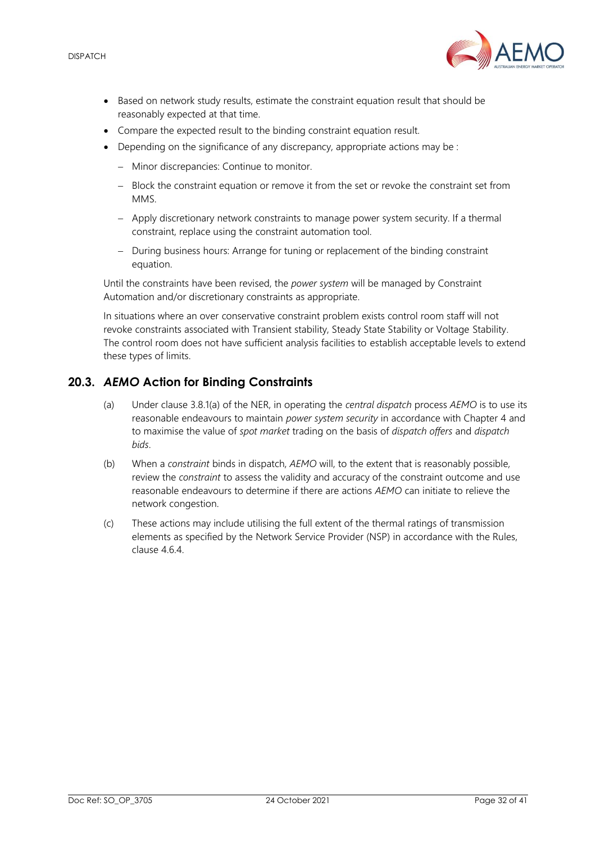

- Based on network study results, estimate the constraint equation result that should be reasonably expected at that time.
- Compare the expected result to the binding constraint equation result.
- Depending on the significance of any discrepancy, appropriate actions may be :
	- − Minor discrepancies: Continue to monitor.
	- − Block the constraint equation or remove it from the set or revoke the constraint set from MMS.
	- − Apply discretionary network constraints to manage power system security. If a thermal constraint, replace using the constraint automation tool.
	- − During business hours: Arrange for tuning or replacement of the binding constraint equation.

Until the constraints have been revised, the *power system* will be managed by Constraint Automation and/or discretionary constraints as appropriate.

In situations where an over conservative constraint problem exists control room staff will not revoke constraints associated with Transient stability, Steady State Stability or Voltage Stability. The control room does not have sufficient analysis facilities to establish acceptable levels to extend these types of limits.

## <span id="page-31-0"></span>**20.3.** *AEMO* **Action for Binding Constraints**

- (a) Under clause 3.8.1(a) of the NER, in operating the *central dispatch* process *AEMO* is to use its reasonable endeavours to maintain *power system security* in accordance with Chapter 4 and to maximise the value of *spot market* trading on the basis of *dispatch offers* and *dispatch bids*.
- (b) When a *constraint* binds in dispatch, *AEMO* will, to the extent that is reasonably possible, review the *constraint* to assess the validity and accuracy of the constraint outcome and use reasonable endeavours to determine if there are actions *AEMO* can initiate to relieve the network congestion.
- (c) These actions may include utilising the full extent of the thermal ratings of transmission elements as specified by the Network Service Provider (NSP) in accordance with the Rules, clause 4.6.4.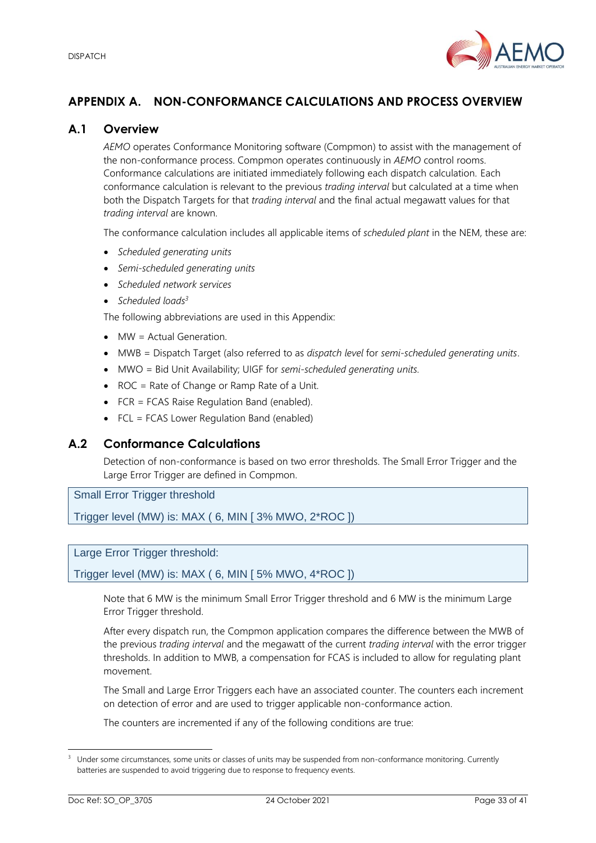

# <span id="page-32-0"></span>**APPENDIX A. NON-CONFORMANCE CALCULATIONS AND PROCESS OVERVIEW**

## <span id="page-32-1"></span>**A.1 Overview**

*AEMO* operates Conformance Monitoring software (Compmon) to assist with the management of the non-conformance process. Compmon operates continuously in *AEMO* control rooms. Conformance calculations are initiated immediately following each dispatch calculation. Each conformance calculation is relevant to the previous *trading interval* but calculated at a time when both the Dispatch Targets for that *trading interval* and the final actual megawatt values for that *trading interval* are known.

The conformance calculation includes all applicable items of *scheduled plant* in the NEM, these are:

- *Scheduled generating units*
- *Semi-scheduled generating units*
- *Scheduled network services*
- *Scheduled loads<sup>3</sup>*

The following abbreviations are used in this Appendix:

- MW = Actual Generation.
- MWB = Dispatch Target (also referred to as *dispatch level* for *semi-scheduled generating units*.
- MWO = Bid Unit Availability; UIGF for *semi-scheduled generating units.*
- ROC = Rate of Change or Ramp Rate of a Unit.
- FCR = FCAS Raise Regulation Band (enabled).
- FCL = FCAS Lower Regulation Band (enabled)

## <span id="page-32-2"></span>**A.2 Conformance Calculations**

Detection of non-conformance is based on two error thresholds. The Small Error Trigger and the Large Error Trigger are defined in Compmon.

Small Error Trigger threshold

Trigger level (MW) is: MAX ( 6, MIN [ 3% MWO, 2\*ROC ])

## Large Error Trigger threshold:

Trigger level (MW) is: MAX ( 6, MIN [ 5% MWO, 4\*ROC ])

Note that 6 MW is the minimum Small Error Trigger threshold and 6 MW is the minimum Large Error Trigger threshold.

After every dispatch run, the Compmon application compares the difference between the MWB of the previous *trading interval* and the megawatt of the current *trading interval* with the error trigger thresholds. In addition to MWB, a compensation for FCAS is included to allow for regulating plant movement.

The Small and Large Error Triggers each have an associated counter. The counters each increment on detection of error and are used to trigger applicable non-conformance action.

The counters are incremented if any of the following conditions are true:

Under some circumstances, some units or classes of units may be suspended from non-conformance monitoring. Currently batteries are suspended to avoid triggering due to response to frequency events.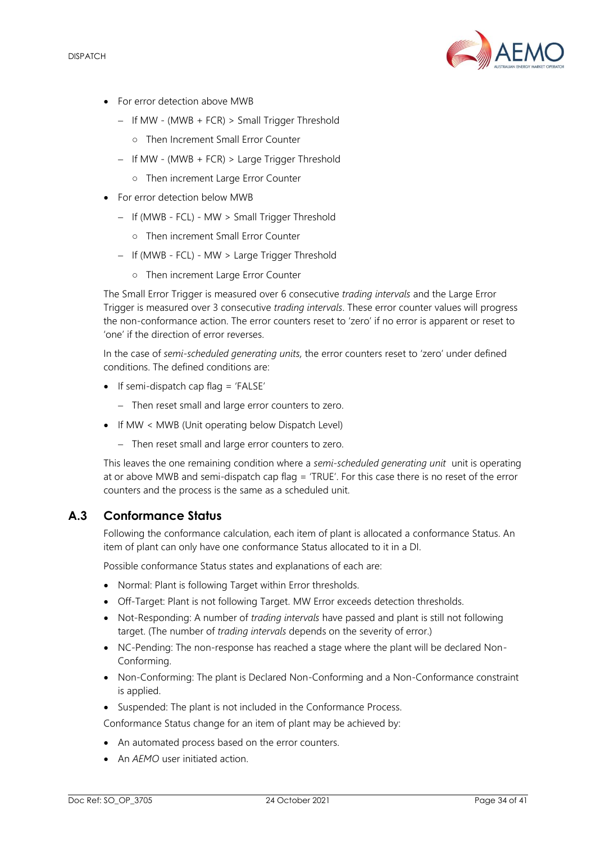

- For error detection above MWB
	- − If MW (MWB + FCR) > Small Trigger Threshold
		- Then Increment Small Error Counter
	- − If MW (MWB + FCR) > Large Trigger Threshold
		- Then increment Large Error Counter
- For error detection below MWB
	- − If (MWB FCL) MW > Small Trigger Threshold
		- Then increment Small Error Counter
	- − If (MWB FCL) MW > Large Trigger Threshold
		- Then increment Large Error Counter

The Small Error Trigger is measured over 6 consecutive *trading intervals* and the Large Error Trigger is measured over 3 consecutive *trading intervals*. These error counter values will progress the non-conformance action. The error counters reset to 'zero' if no error is apparent or reset to 'one' if the direction of error reverses.

In the case of *semi-scheduled generating units,* the error counters reset to 'zero' under defined conditions. The defined conditions are:

- If semi-dispatch cap flag = 'FALSE'
	- − Then reset small and large error counters to zero.
- If MW < MWB (Unit operating below Dispatch Level)
	- − Then reset small and large error counters to zero.

This leaves the one remaining condition where a *semi-scheduled generating unit* unit is operating at or above MWB and semi-dispatch cap flag = 'TRUE'. For this case there is no reset of the error counters and the process is the same as a scheduled unit.

## <span id="page-33-0"></span>**A.3 Conformance Status**

Following the conformance calculation, each item of plant is allocated a conformance Status. An item of plant can only have one conformance Status allocated to it in a DI.

Possible conformance Status states and explanations of each are:

- Normal: Plant is following Target within Error thresholds.
- Off-Target: Plant is not following Target. MW Error exceeds detection thresholds.
- Not-Responding: A number of *trading intervals* have passed and plant is still not following target. (The number of *trading intervals* depends on the severity of error.)
- NC-Pending: The non-response has reached a stage where the plant will be declared Non-Conforming.
- Non-Conforming: The plant is Declared Non-Conforming and a Non-Conformance constraint is applied.
- Suspended: The plant is not included in the Conformance Process.

Conformance Status change for an item of plant may be achieved by:

- An automated process based on the error counters.
- An *AEMO* user initiated action.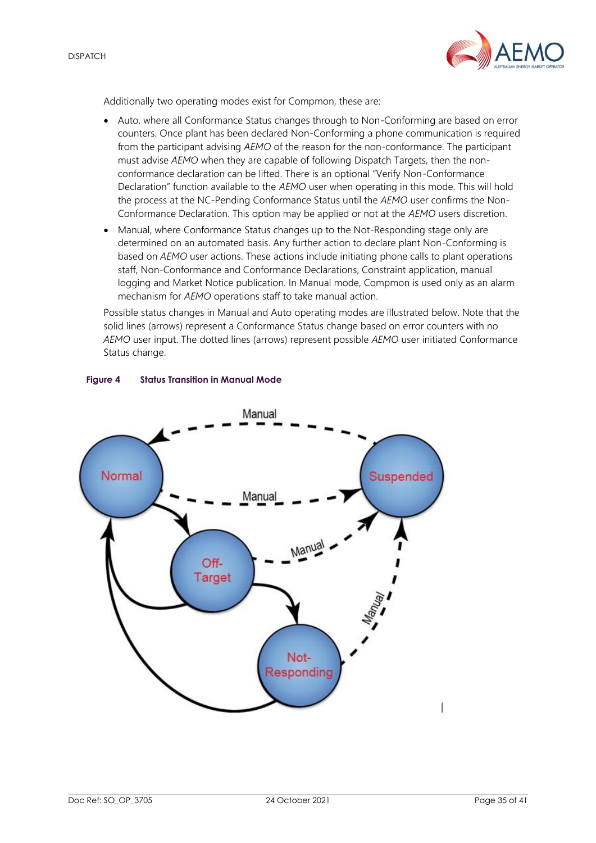

Additionally two operating modes exist for Compmon, these are:

- Auto, where all Conformance Status changes through to Non-Conforming are based on error counters. Once plant has been declared Non-Conforming a phone communication is required from the participant advising *AEMO* of the reason for the non-conformance. The participant must advise *AEMO* when they are capable of following Dispatch Targets, then the nonconformance declaration can be lifted. There is an optional "Verify Non-Conformance Declaration" function available to the *AEMO* user when operating in this mode. This will hold the process at the NC-Pending Conformance Status until the *AEMO* user confirms the Non-Conformance Declaration. This option may be applied or not at the *AEMO* users discretion.
- Manual, where Conformance Status changes up to the Not-Responding stage only are determined on an automated basis. Any further action to declare plant Non-Conforming is based on *AEMO* user actions. These actions include initiating phone calls to plant operations staff, Non-Conformance and Conformance Declarations, Constraint application, manual logging and Market Notice publication. In Manual mode, Compmon is used only as an alarm mechanism for *AEMO* operations staff to take manual action.

Possible status changes in Manual and Auto operating modes are illustrated below. Note that the solid lines (arrows) represent a Conformance Status change based on error counters with no *AEMO* user input. The dotted lines (arrows) represent possible *AEMO* user initiated Conformance Status change.



#### <span id="page-34-0"></span>**Figure 4 Status Transition in Manual Mode**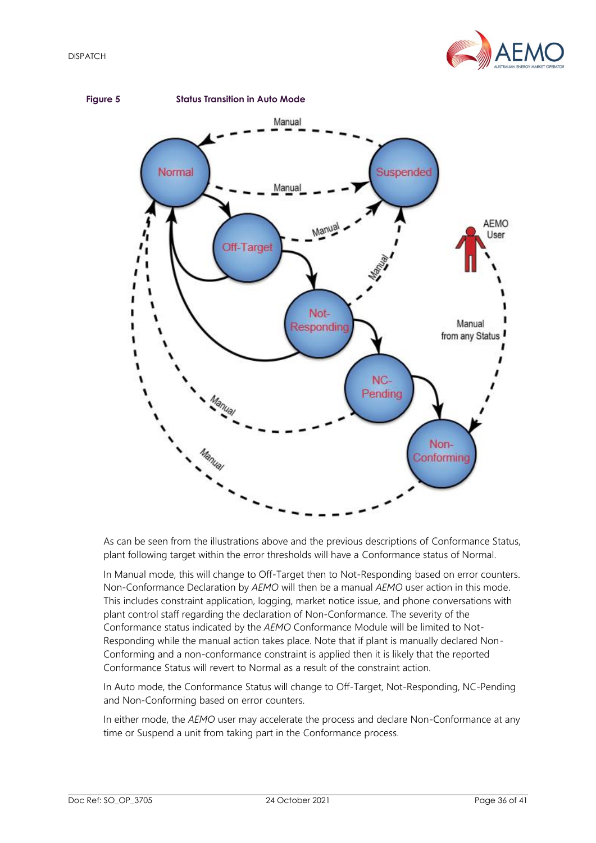

<span id="page-35-0"></span>

As can be seen from the illustrations above and the previous descriptions of Conformance Status, plant following target within the error thresholds will have a Conformance status of Normal.

In Manual mode, this will change to Off-Target then to Not-Responding based on error counters. Non-Conformance Declaration by *AEMO* will then be a manual *AEMO* user action in this mode. This includes constraint application, logging, market notice issue, and phone conversations with plant control staff regarding the declaration of Non-Conformance. The severity of the Conformance status indicated by the *AEMO* Conformance Module will be limited to Not-Responding while the manual action takes place. Note that if plant is manually declared Non-Conforming and a non-conformance constraint is applied then it is likely that the reported Conformance Status will revert to Normal as a result of the constraint action.

In Auto mode, the Conformance Status will change to Off-Target, Not-Responding, NC-Pending and Non-Conforming based on error counters.

In either mode, the *AEMO* user may accelerate the process and declare Non-Conformance at any time or Suspend a unit from taking part in the Conformance process.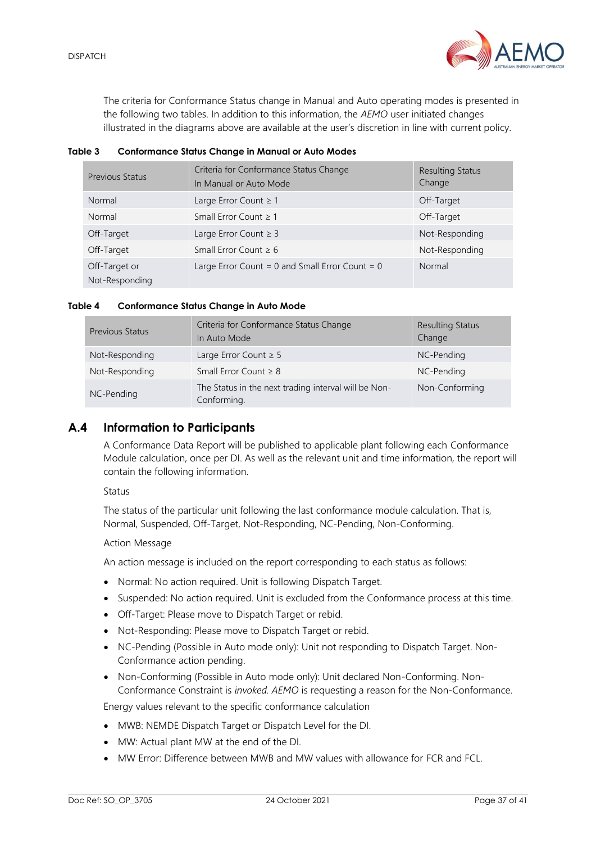

The criteria for Conformance Status change in Manual and Auto operating modes is presented in the following two tables. In addition to this information, the *AEMO* user initiated changes illustrated in the diagrams above are available at the user's discretion in line with current policy.

#### <span id="page-36-1"></span>**Table 3 Conformance Status Change in Manual or Auto Modes**

| <b>Previous Status</b>          | Criteria for Conformance Status Change<br>In Manual or Auto Mode | <b>Resulting Status</b><br>Change |
|---------------------------------|------------------------------------------------------------------|-----------------------------------|
| Normal                          | Large Error Count $\geq 1$                                       | Off-Target                        |
| Normal                          | Small Error Count $\geq 1$                                       | Off-Target                        |
| Off-Target                      | Large Error Count $\geq 3$                                       | Not-Responding                    |
| Off-Target                      | Small Error Count $\geq 6$                                       | Not-Responding                    |
| Off-Target or<br>Not-Responding | Large Error Count = $0$ and Small Error Count = $0$              | Normal                            |

#### <span id="page-36-2"></span>**Table 4 Conformance Status Change in Auto Mode**

| <b>Previous Status</b> | Criteria for Conformance Status Change<br>In Auto Mode              | <b>Resulting Status</b><br>Change |
|------------------------|---------------------------------------------------------------------|-----------------------------------|
| Not-Responding         | Large Error Count $\geq 5$                                          | NC-Pending                        |
| Not-Responding         | Small Error Count $\geq 8$                                          | NC-Pending                        |
| NC-Pending             | The Status in the next trading interval will be Non-<br>Conforming. | Non-Conforming                    |

## <span id="page-36-0"></span>**A.4 Information to Participants**

A Conformance Data Report will be published to applicable plant following each Conformance Module calculation, once per DI. As well as the relevant unit and time information, the report will contain the following information.

#### Status

The status of the particular unit following the last conformance module calculation. That is, Normal, Suspended, Off-Target, Not-Responding, NC-Pending, Non-Conforming.

#### Action Message

An action message is included on the report corresponding to each status as follows:

- Normal: No action required. Unit is following Dispatch Target.
- Suspended: No action required. Unit is excluded from the Conformance process at this time.
- Off-Target: Please move to Dispatch Target or rebid.
- Not-Responding: Please move to Dispatch Target or rebid.
- NC-Pending (Possible in Auto mode only): Unit not responding to Dispatch Target. Non-Conformance action pending.
- Non-Conforming (Possible in Auto mode only): Unit declared Non-Conforming. Non-Conformance Constraint is *invoked. AEMO* is requesting a reason for the Non-Conformance.

Energy values relevant to the specific conformance calculation

- MWB: NEMDE Dispatch Target or Dispatch Level for the DI.
- MW: Actual plant MW at the end of the DI.
- MW Error: Difference between MWB and MW values with allowance for FCR and FCL.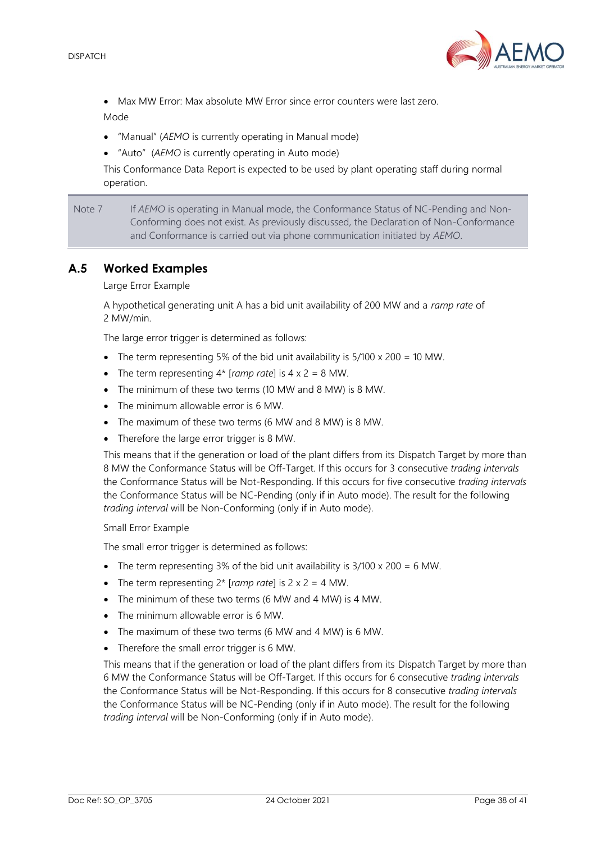

• Max MW Error: Max absolute MW Error since error counters were last zero.

Mode

- "Manual" (*AEMO* is currently operating in Manual mode)
- "Auto" (*AEMO* is currently operating in Auto mode)

This Conformance Data Report is expected to be used by plant operating staff during normal operation.

Note 7 If *AEMO* is operating in Manual mode, the Conformance Status of NC-Pending and Non-Conforming does not exist. As previously discussed, the Declaration of Non-Conformance and Conformance is carried out via phone communication initiated by *AEMO*.

## <span id="page-37-0"></span>**A.5 Worked Examples**

Large Error Example

A hypothetical generating unit A has a bid unit availability of 200 MW and a *ramp rate* of 2 MW/min.

The large error trigger is determined as follows:

- The term representing 5% of the bid unit availability is 5/100 x 200 = 10 MW.
- The term representing 4\* [*ramp rate*] is 4 x 2 = 8 MW.
- The minimum of these two terms (10 MW and 8 MW) is 8 MW.
- The minimum allowable error is 6 MW.
- The maximum of these two terms (6 MW and 8 MW) is 8 MW.
- Therefore the large error trigger is 8 MW.

This means that if the generation or load of the plant differs from its Dispatch Target by more than 8 MW the Conformance Status will be Off-Target. If this occurs for 3 consecutive *trading intervals* the Conformance Status will be Not-Responding. If this occurs for five consecutive *trading intervals* the Conformance Status will be NC-Pending (only if in Auto mode). The result for the following *trading interval* will be Non-Conforming (only if in Auto mode).

#### Small Error Example

The small error trigger is determined as follows:

- The term representing 3% of the bid unit availability is  $3/100 \times 200 = 6$  MW.
- The term representing 2\* [*ramp rate*] is 2 x 2 = 4 MW.
- The minimum of these two terms (6 MW and 4 MW) is 4 MW.
- The minimum allowable error is 6 MW.
- The maximum of these two terms (6 MW and 4 MW) is 6 MW.
- Therefore the small error trigger is 6 MW.

This means that if the generation or load of the plant differs from its Dispatch Target by more than 6 MW the Conformance Status will be Off-Target. If this occurs for 6 consecutive *trading intervals* the Conformance Status will be Not-Responding. If this occurs for 8 consecutive *trading intervals* the Conformance Status will be NC-Pending (only if in Auto mode). The result for the following *trading interval* will be Non-Conforming (only if in Auto mode).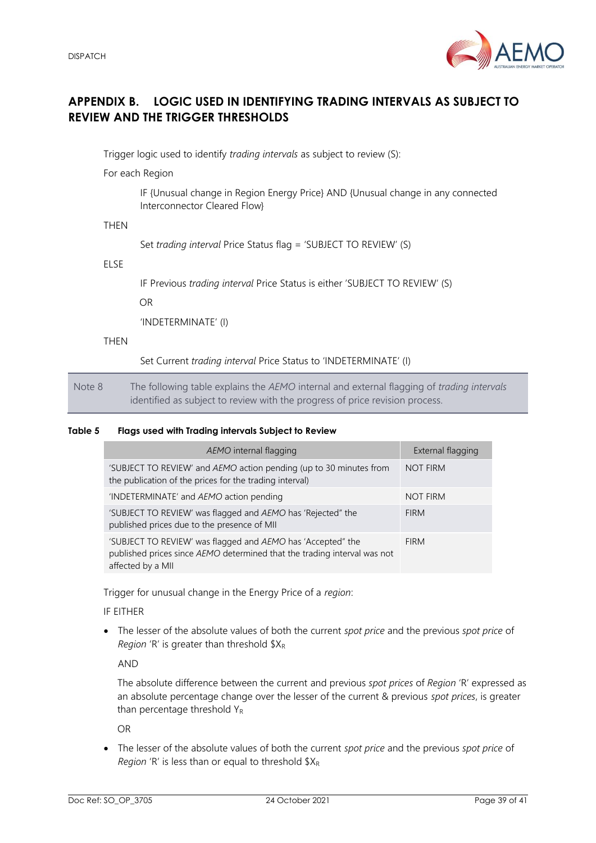

## <span id="page-38-0"></span>**APPENDIX B. LOGIC USED IN IDENTIFYING TRADING INTERVALS AS SUBJECT TO REVIEW AND THE TRIGGER THRESHOLDS**

Trigger logic used to identify *trading intervals* as subject to review (S):

For each Region

IF {Unusual change in Region Energy Price} AND {Unusual change in any connected Interconnector Cleared Flow}

THEN

Set *trading interval* Price Status flag = 'SUBJECT TO REVIEW' (S)

ELSE

IF Previous *trading interval* Price Status is either 'SUBJECT TO REVIEW' (S)

OR

'INDETERMINATE' (I)

**THEN** 

Set Current *trading interval* Price Status to 'INDETERMINATE' (I)

Note 8 The following table explains the *AEMO* internal and external flagging of *trading intervals* identified as subject to review with the progress of price revision process.

#### <span id="page-38-1"></span>**Table 5 Flags used with Trading intervals Subject to Review**

| AEMO internal flagging                                                                                                                                       | External flagging |
|--------------------------------------------------------------------------------------------------------------------------------------------------------------|-------------------|
| 'SUBJECT TO REVIEW' and AEMO action pending (up to 30 minutes from<br>the publication of the prices for the trading interval)                                | <b>NOT FIRM</b>   |
| 'INDETERMINATE' and AEMO action pending                                                                                                                      | <b>NOT FIRM</b>   |
| 'SUBJECT TO REVIEW' was flagged and AEMO has 'Rejected" the<br>published prices due to the presence of MII                                                   | <b>FIRM</b>       |
| 'SUBJECT TO REVIEW' was flagged and AEMO has 'Accepted" the<br>published prices since AEMO determined that the trading interval was not<br>affected by a MII | <b>FIRM</b>       |

Trigger for unusual change in the Energy Price of a *region*:

IF EITHER

• The lesser of the absolute values of both the current *spot price* and the previous *spot price* of *Region* 'R' is greater than threshold  $X_R$ 

AND

The absolute difference between the current and previous *spot prices* of *Region* 'R' expressed as an absolute percentage change over the lesser of the current & previous *spot prices*, is greater than percentage threshold YR

OR

• The lesser of the absolute values of both the current *spot price* and the previous *spot price* of *Region* 'R' is less than or equal to threshold  $X_R$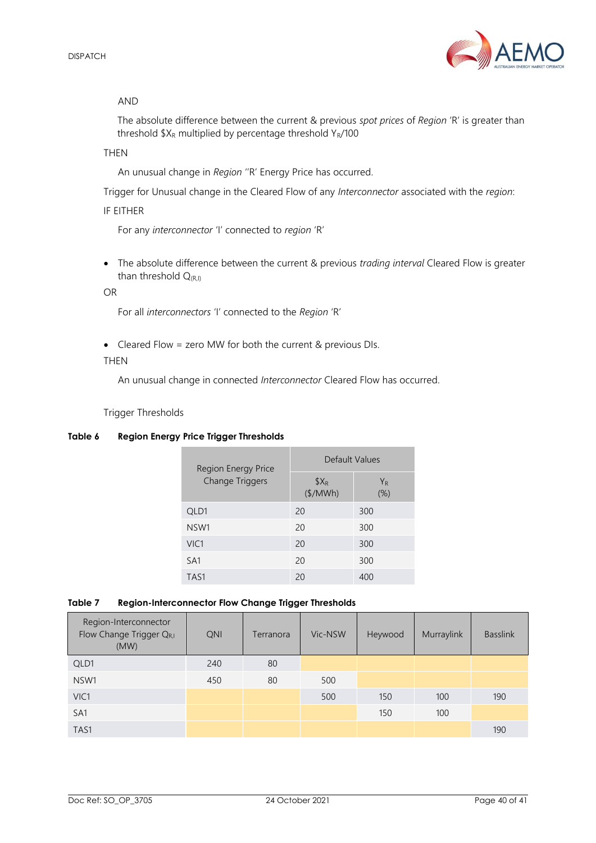

#### AND

The absolute difference between the current & previous *spot prices* of *Region* 'R' is greater than threshold  $X_R$  multiplied by percentage threshold  $Y_R/100$ 

#### **THFN**

An unusual change in *Region* ''R' Energy Price has occurred.

Trigger for Unusual change in the Cleared Flow of any *Interconnector* associated with the *region*:

#### IF EITHER

For any *interconnector* 'I' connected to *region* 'R'

• The absolute difference between the current & previous *trading interval* Cleared Flow is greater than threshold  $Q_{(R,I)}$ 

#### OR

For all *interconnectors* 'I' connected to the *Region* 'R'

• Cleared Flow = zero MW for both the current & previous DIs.

#### THEN

An unusual change in connected *Interconnector* Cleared Flow has occurred.

Trigger Thresholds

#### <span id="page-39-0"></span>**Table 6 Region Energy Price Trigger Thresholds**

| Region Energy Price    | Default Values       |                          |  |
|------------------------|----------------------|--------------------------|--|
| <b>Change Triggers</b> | $$X_{R}$<br>(\$/MWh) | Y <sub>R</sub><br>$(\%)$ |  |
| QLD1                   | 20                   | 300                      |  |
| NSW1                   | 20                   | 300                      |  |
| VIC1                   | 20                   | 300                      |  |
| SA <sub>1</sub>        | 20                   | 300                      |  |
| TAS1                   | 20                   | 400                      |  |

#### <span id="page-39-1"></span>**Table 7 Region-Interconnector Flow Change Trigger Thresholds**

| Region-Interconnector<br>Flow Change Trigger QR,I<br>(MW) | QNI | Terranora | Vic-NSW | Heywood | Murraylink | <b>Basslink</b> |
|-----------------------------------------------------------|-----|-----------|---------|---------|------------|-----------------|
| QLD1                                                      | 240 | 80        |         |         |            |                 |
| NSW1                                                      | 450 | 80        | 500     |         |            |                 |
| VIC1                                                      |     |           | 500     | 150     | 100        | 190             |
| SA <sub>1</sub>                                           |     |           |         | 150     | 100        |                 |
| TAS1                                                      |     |           |         |         |            | 190             |